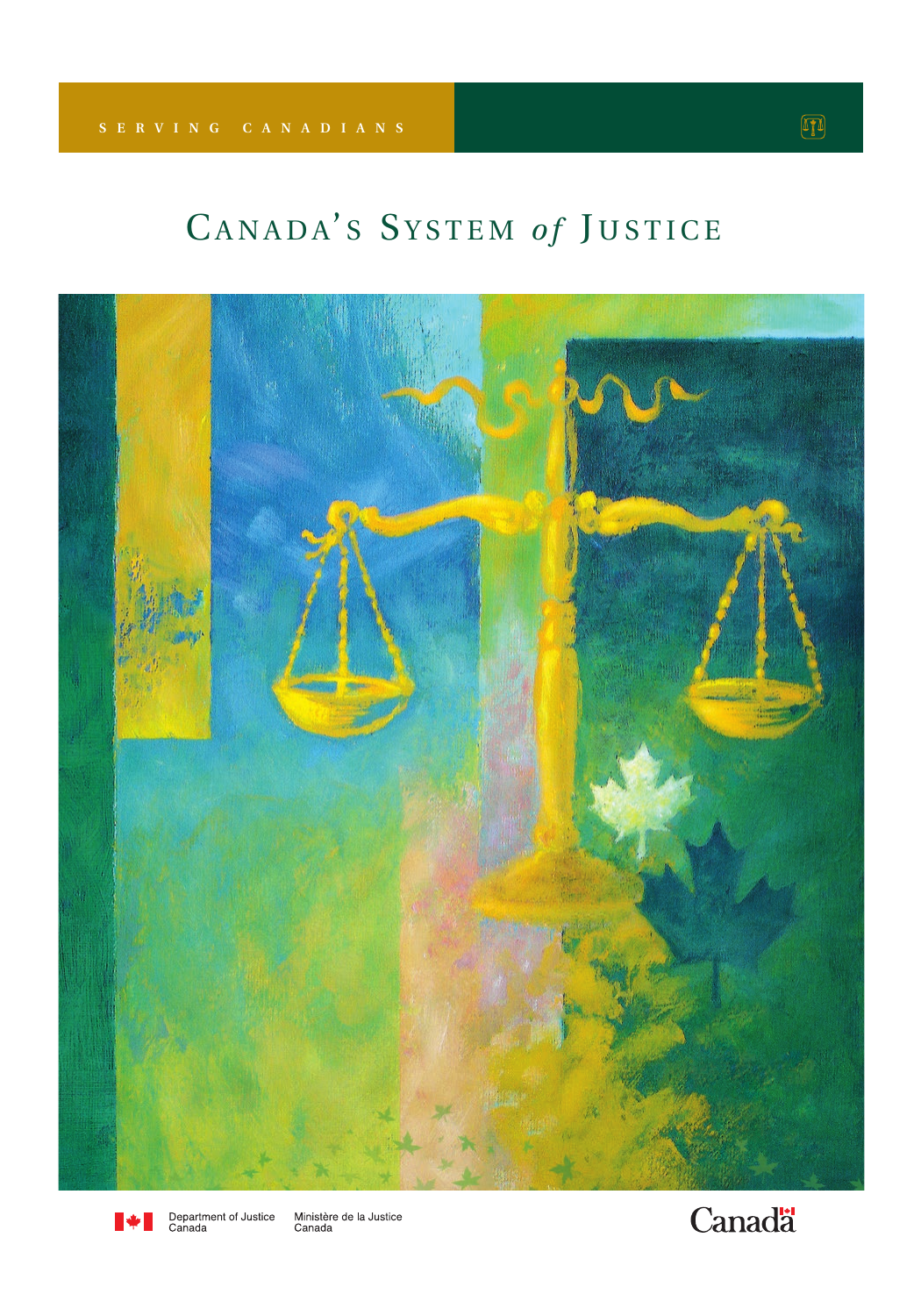# CANADA'S SYSTEM of JUSTICE





Department of Justice<br>Canada Ministère de la Justice<br>Canada

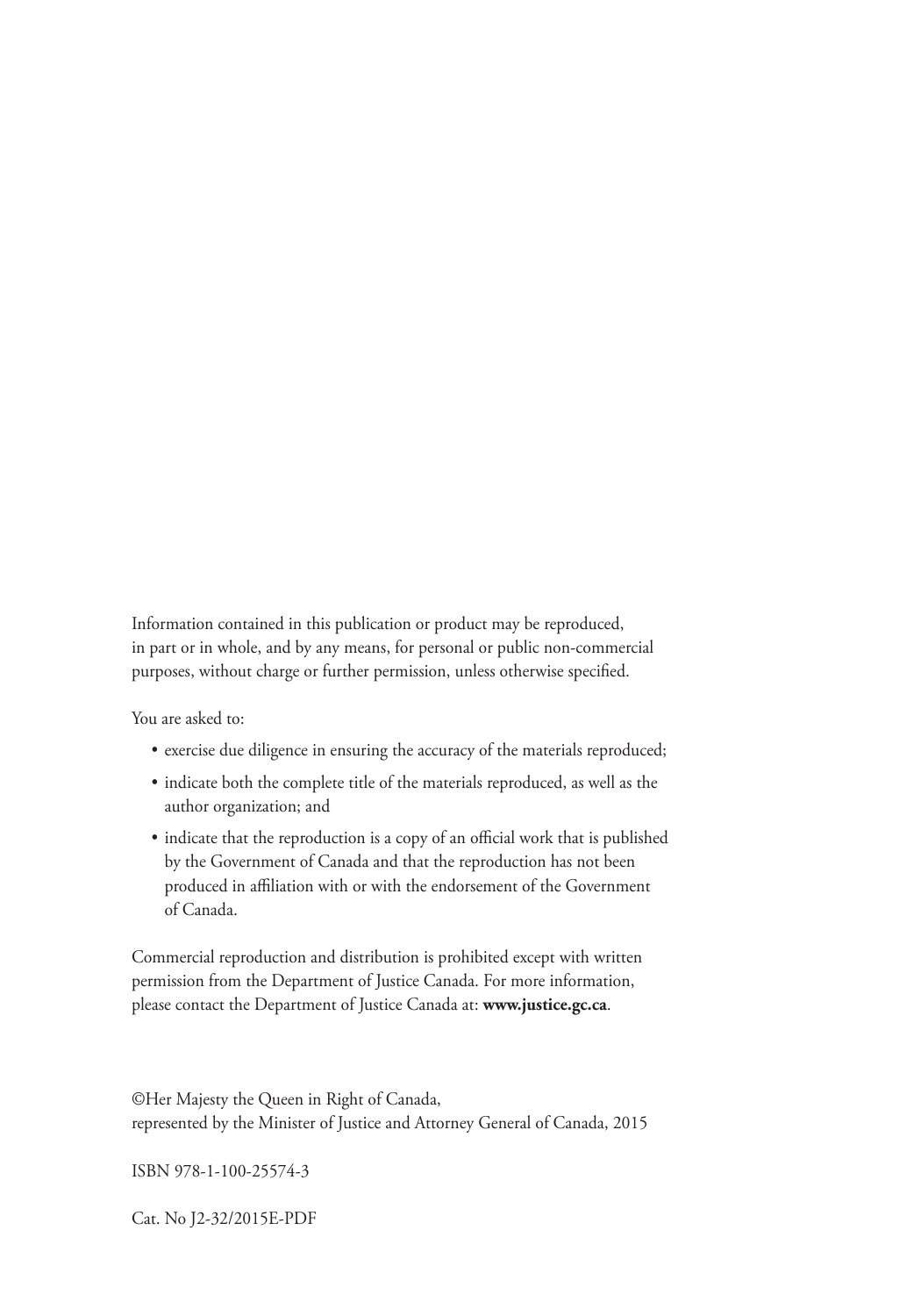Information contained in this publication or product may be reproduced, in part or in whole, and by any means, for personal or public non-commercial purposes, without charge or further permission, unless otherwise specified.

You are asked to:

- exercise due diligence in ensuring the accuracy of the materials reproduced;
- indicate both the complete title of the materials reproduced, as well as the author organization; and
- indicate that the reproduction is a copy of an official work that is published by the Government of Canada and that the reproduction has not been produced in affiliation with or with the endorsement of the Government of Canada.

Commercial reproduction and distribution is prohibited except with written permission from the Department of Justice Canada. For more information, please contact the Department of Justice Canada at: **www.justice.gc.ca**.

©Her Majesty the Queen in Right of Canada, represented by the Minister of Justice and Attorney General of Canada, 2015

ISBN 978-1-100-25574-3

Cat. No J2-32/2015E-PDF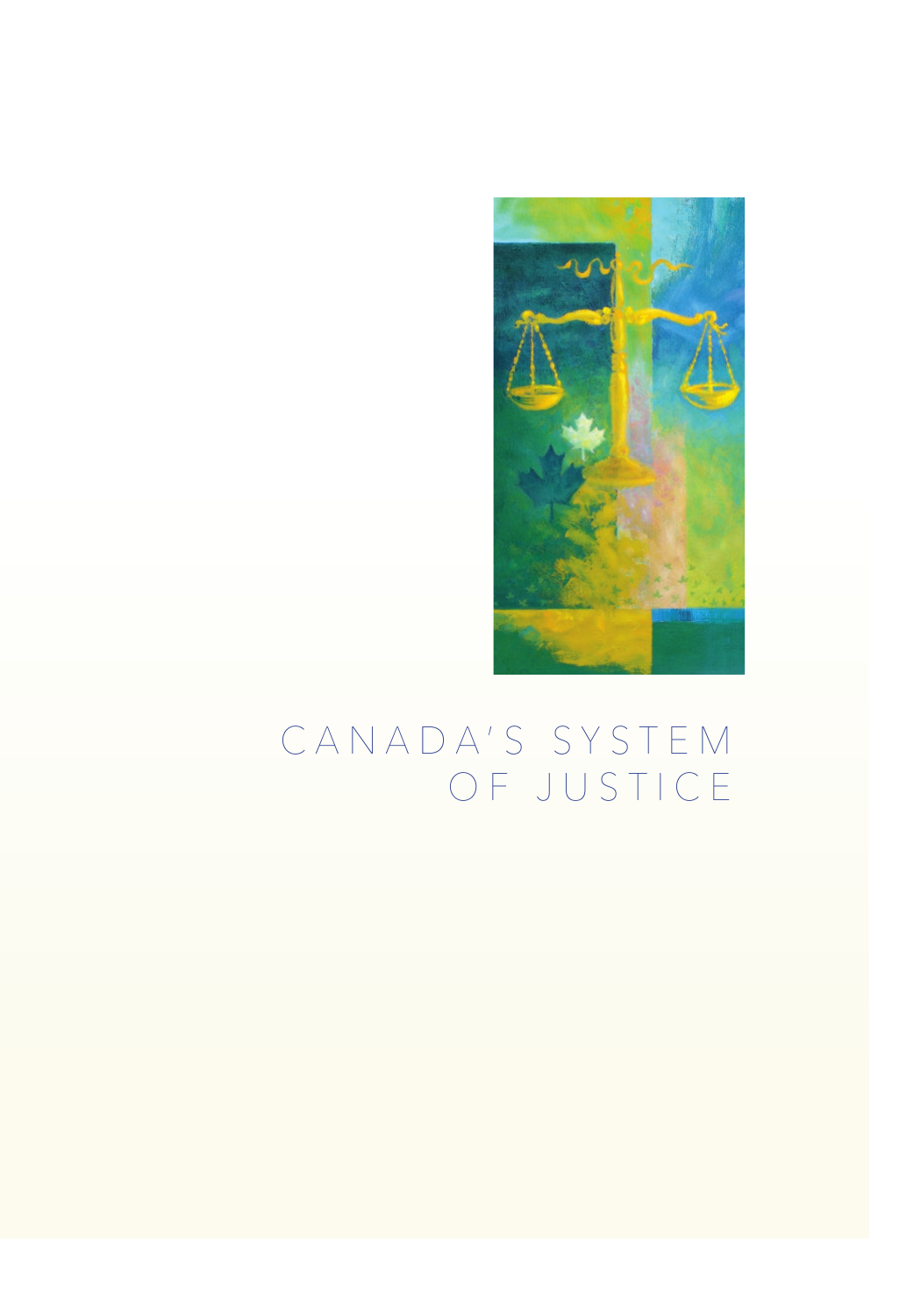

# C A N A D A ' S S Y S T E M OF JUSTICE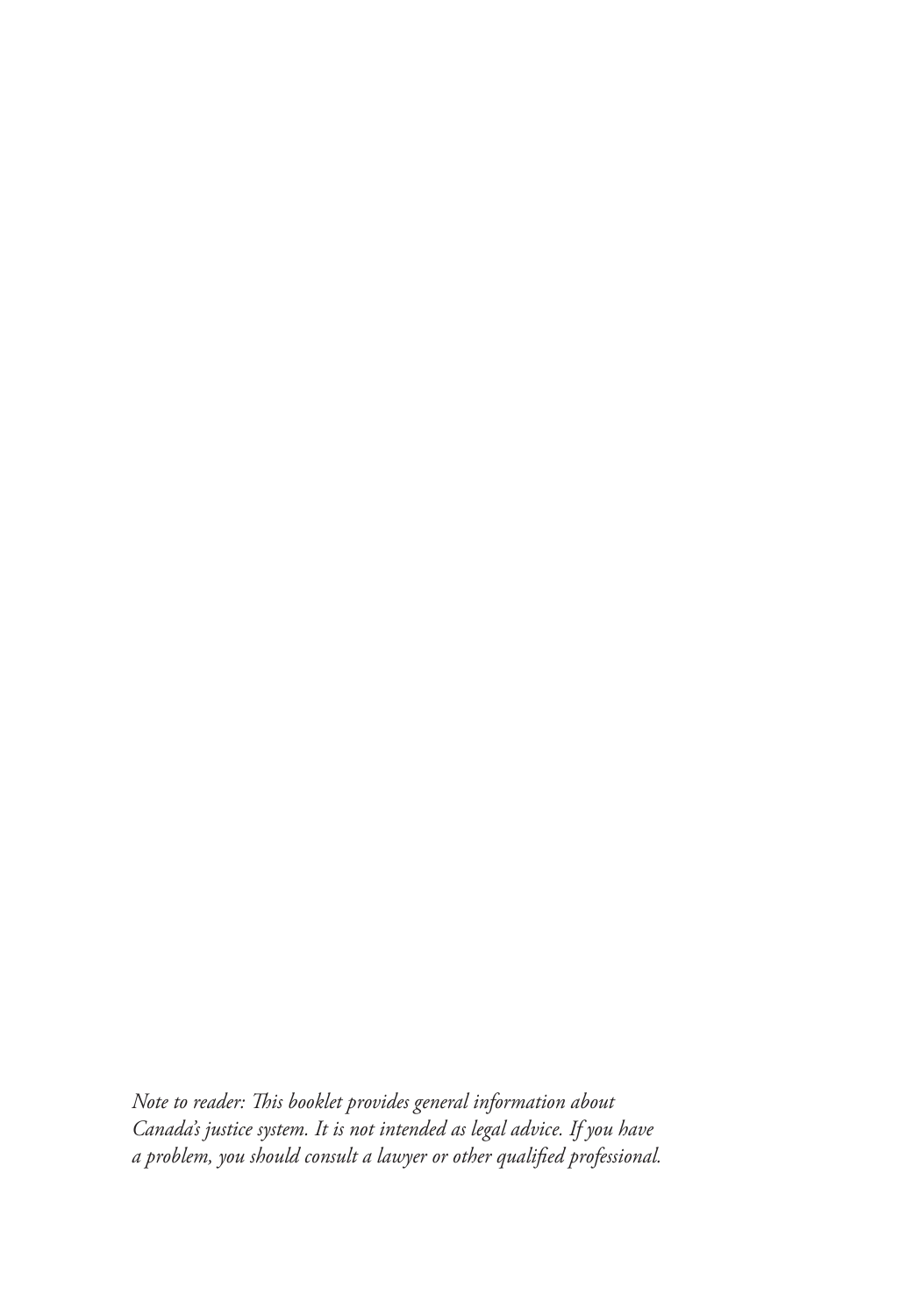*Note to reader: This booklet provides general information about Canada's justice system. It is not intended as legal advice. If you have a problem, you should consult a lawyer or other qualified professional.*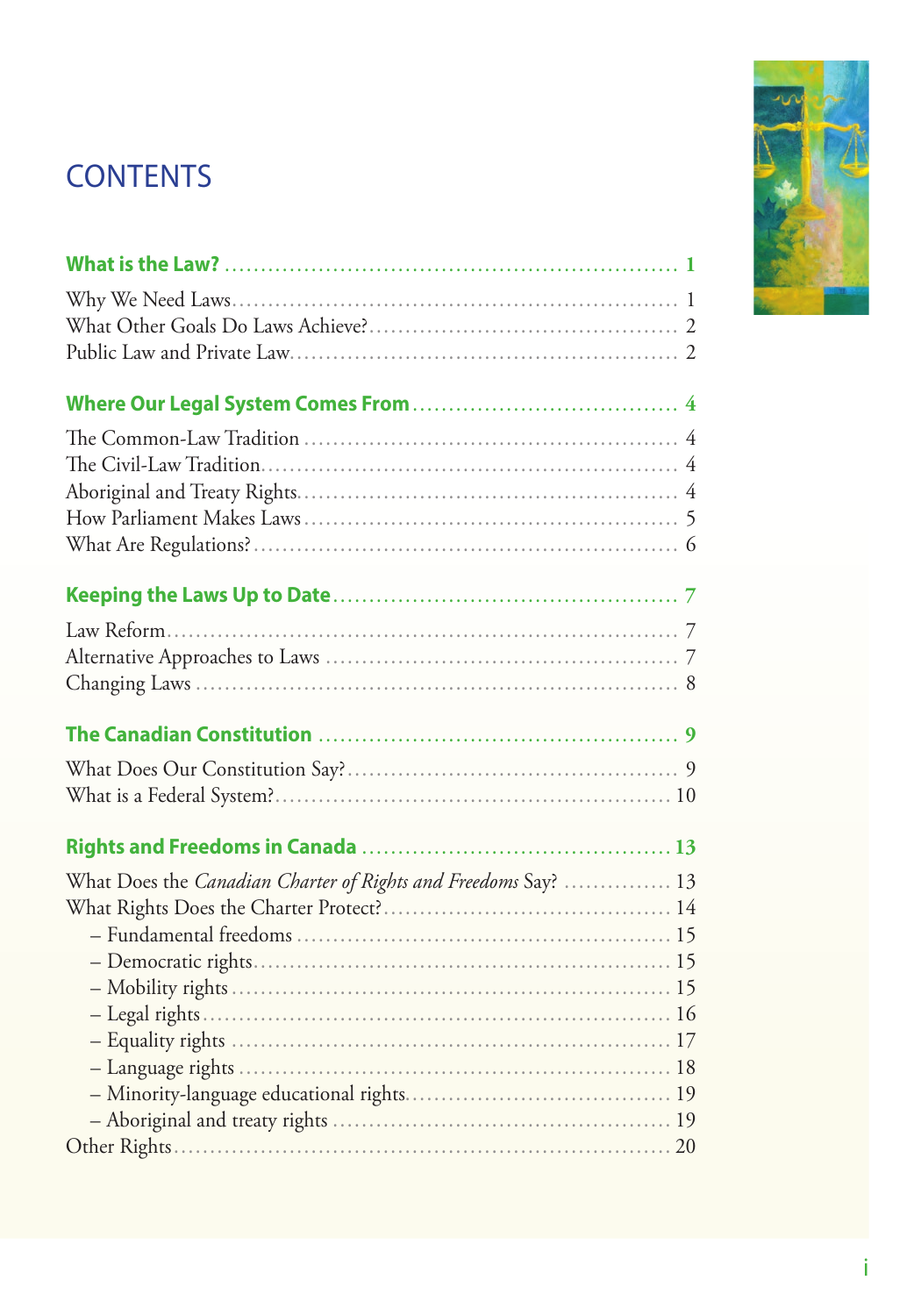# **CONTENTS**

| What Does the Canadian Charter of Rights and Freedoms Say?  13 |  |
|----------------------------------------------------------------|--|
|                                                                |  |
|                                                                |  |
|                                                                |  |
|                                                                |  |
|                                                                |  |
|                                                                |  |
|                                                                |  |
|                                                                |  |
|                                                                |  |
|                                                                |  |

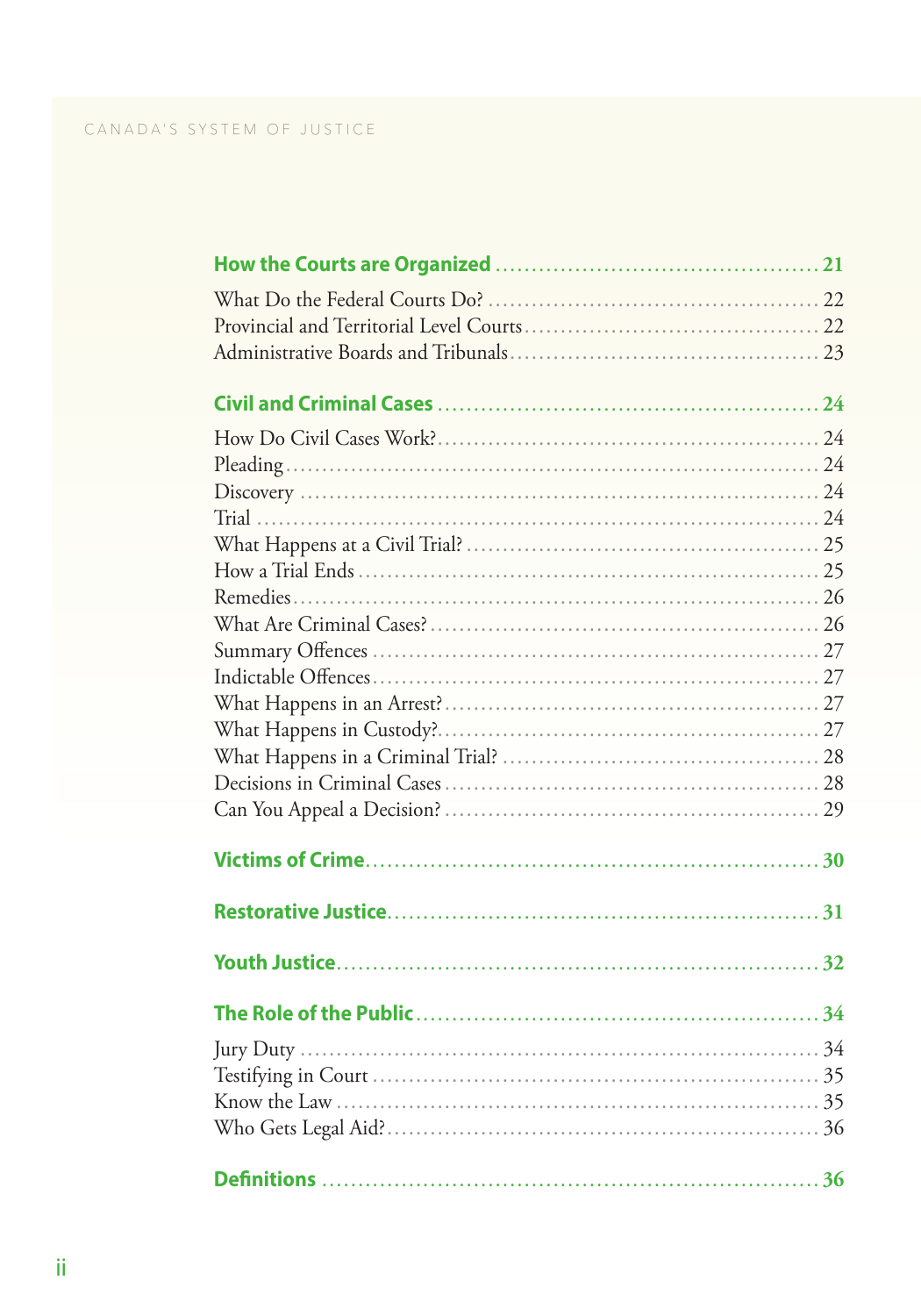| <b>Definitions</b> | 36 |
|--------------------|----|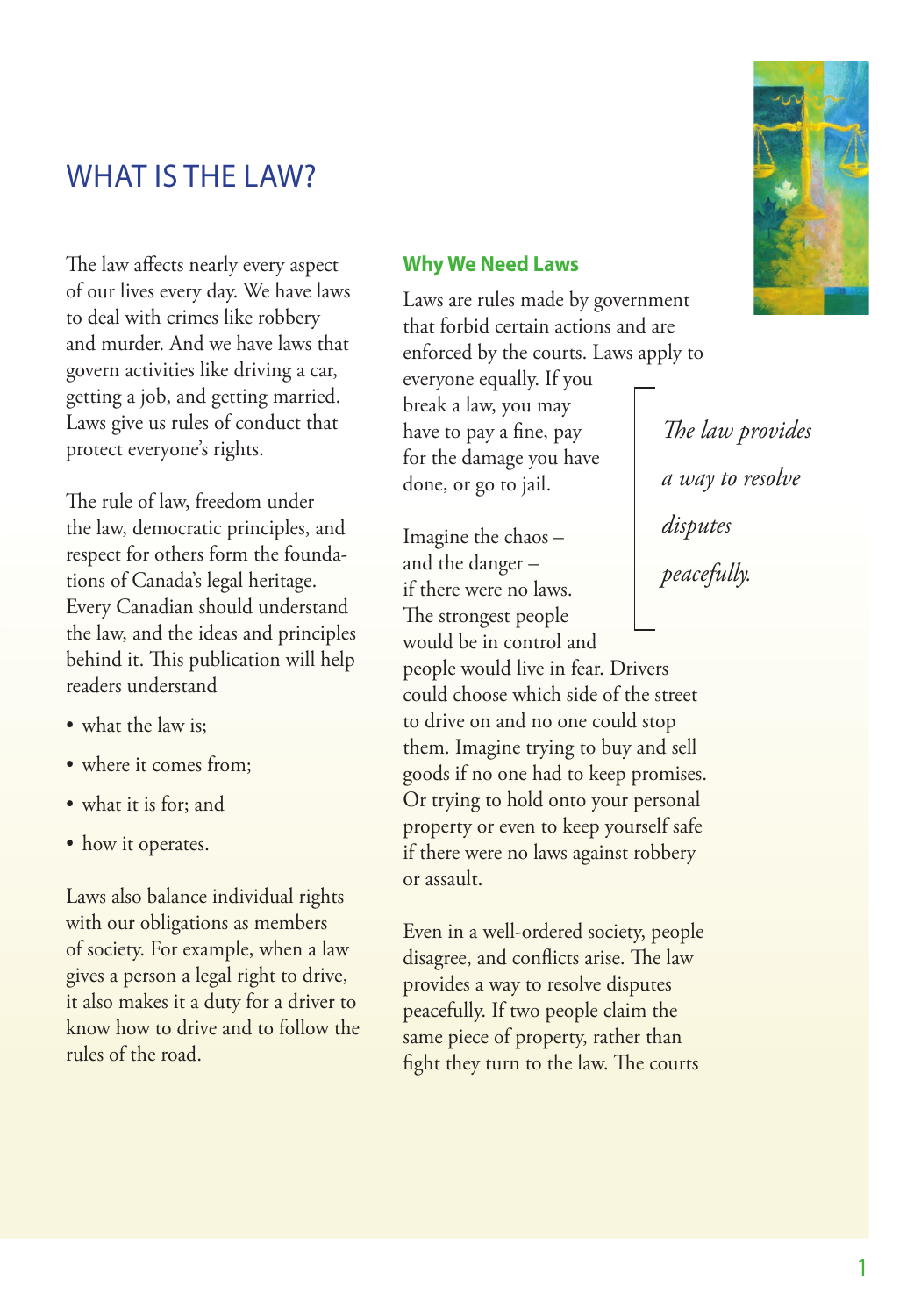# <span id="page-6-0"></span>WHAT IS THE LAW?

The law affects nearly every aspect of our lives every day. We have laws to deal with crimes like robbery and murder. And we have laws that govern activities like driving a car, getting a job, and getting married. Laws give us rules of conduct that protect everyone's rights.

The rule of law, freedom under the law, democratic principles, and respect for others form the foundations of Canada's legal heritage. Every Canadian should understand the law, and the ideas and principles behind it. This publication will help readers understand

- what the law is:
- where it comes from;
- what it is for; and
- how it operates.

Laws also balance individual rights with our obligations as members of society. For example, when a law gives a person a legal right to drive, it also makes it a duty for a driver to know how to drive and to follow the rules of the road.

### **Why We Need Laws**

Laws are rules made by government that forbid certain actions and are enforced by the courts. Laws apply to everyone equally. If you break a law, you may have to pay a fine, pay for the damage you have done, or go to jail. *The law provides a way to resolve* 

*disputes* 

*peacefully.*

Imagine the chaos – and the danger – if there were no laws. The strongest people

would be in control and people would live in fear. Drivers could choose which side of the street to drive on and no one could stop them. Imagine trying to buy and sell goods if no one had to keep promises. Or trying to hold onto your personal property or even to keep yourself safe if there were no laws against robbery or assault.

Even in a well-ordered society, people disagree, and conflicts arise. The law provides a way to resolve disputes peacefully. If two people claim the same piece of property, rather than fight they turn to the law. The courts



1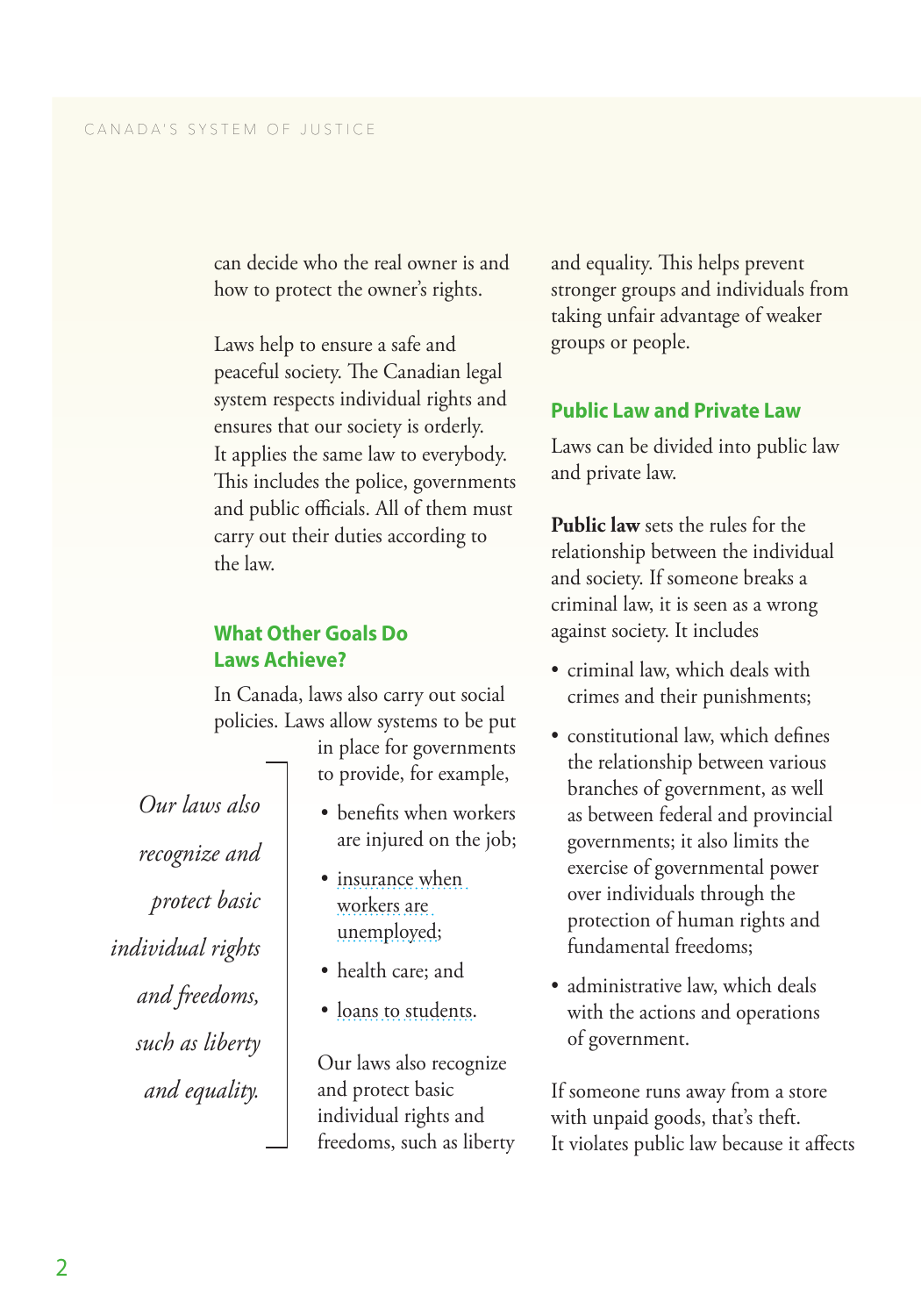<span id="page-7-0"></span>can decide who the real owner is and how to protect the owner's rights.

Laws help to ensure a safe and peaceful society. The Canadian legal system respects individual rights and ensures that our society is orderly. It applies the same law to everybody. This includes the police, governments and public officials. All of them must carry out their duties according to the law.

### **What Other Goals Do Laws Achieve?**

In Canada, laws also carry out social policies. Laws allow systems to be put

> in place for governments to provide, for example,

- benefits when workers are injured on the job;
- insurance when [workers are](http://www.servicecanada.gc.ca/eng/sc/ei/index.shtml)  [unemployed](http://www.servicecanada.gc.ca/eng/sc/ei/index.shtml);
- health care; and
- [loans to students](http://www.esdc.gc.ca/eng/jobs/student/loans_grants/index.shtml).

Our laws also recognize and protect basic individual rights and freedoms, such as liberty and equality. This helps prevent stronger groups and individuals from taking unfair advantage of weaker groups or people.

### **Public Law and Private Law**

Laws can be divided into public law and private law.

**Public law** sets the rules for the relationship between the individual and society. If someone breaks a criminal law, it is seen as a wrong against society. It includes

- criminal law, which deals with crimes and their punishments;
- constitutional law, which defines the relationship between various branches of government, as well as between federal and provincial governments; it also limits the exercise of governmental power over individuals through the protection of human rights and fundamental freedoms;
- administrative law, which deals with the actions and operations of government.

If someone runs away from a store with unpaid goods, that's theft. It violates public law because it affects

*Our laws also recognize and protect basic individual rights and freedoms, such as liberty and equality.*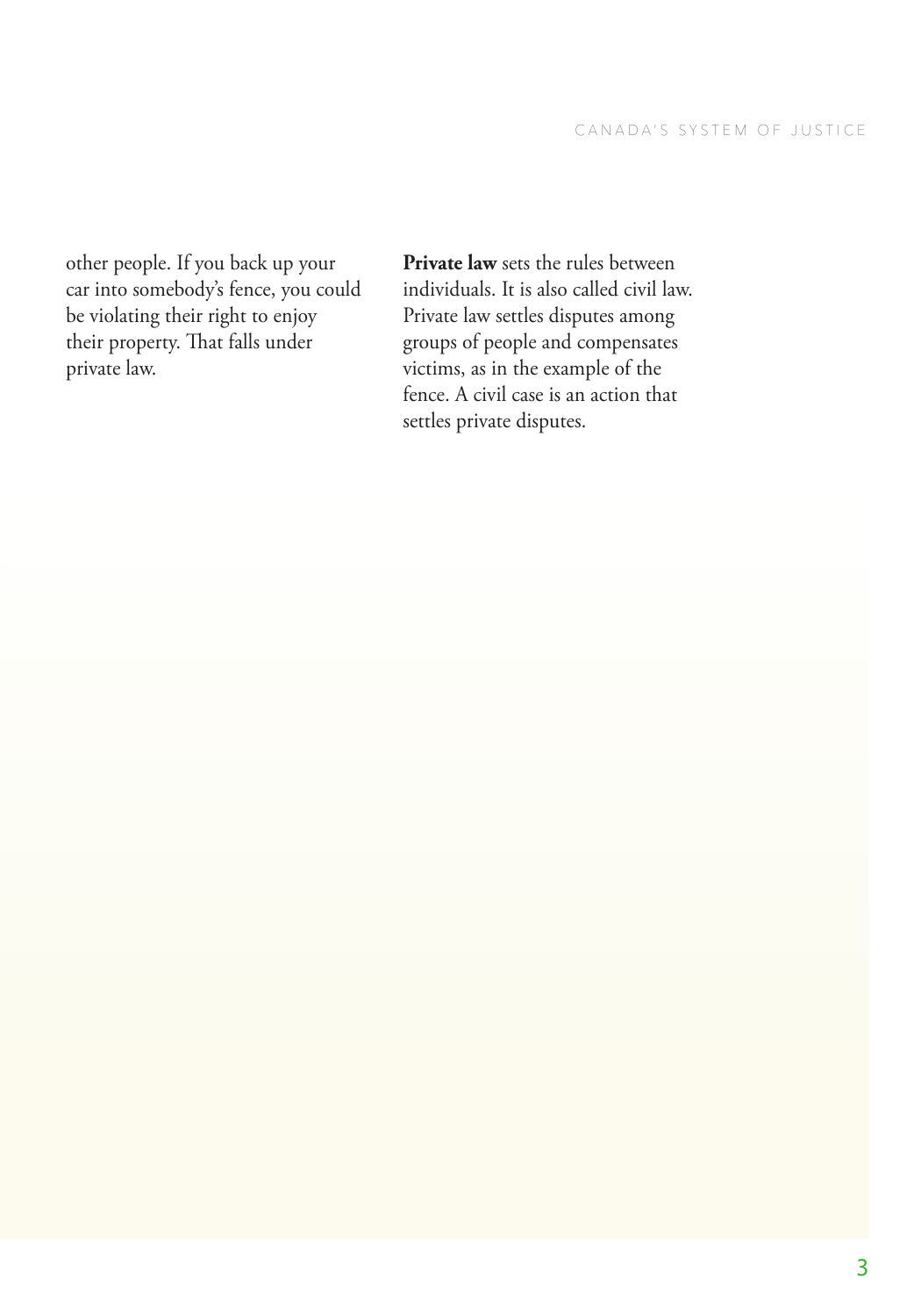other people. If you back up your car into somebody's fence, you could be violating their right to enjoy their property. That falls under private law.

**Private law** sets the rules between individuals. It is also called civil law. Private law settles disputes among groups of people and compensates victims, as in the example of the fence. A civil case is an action that settles private disputes.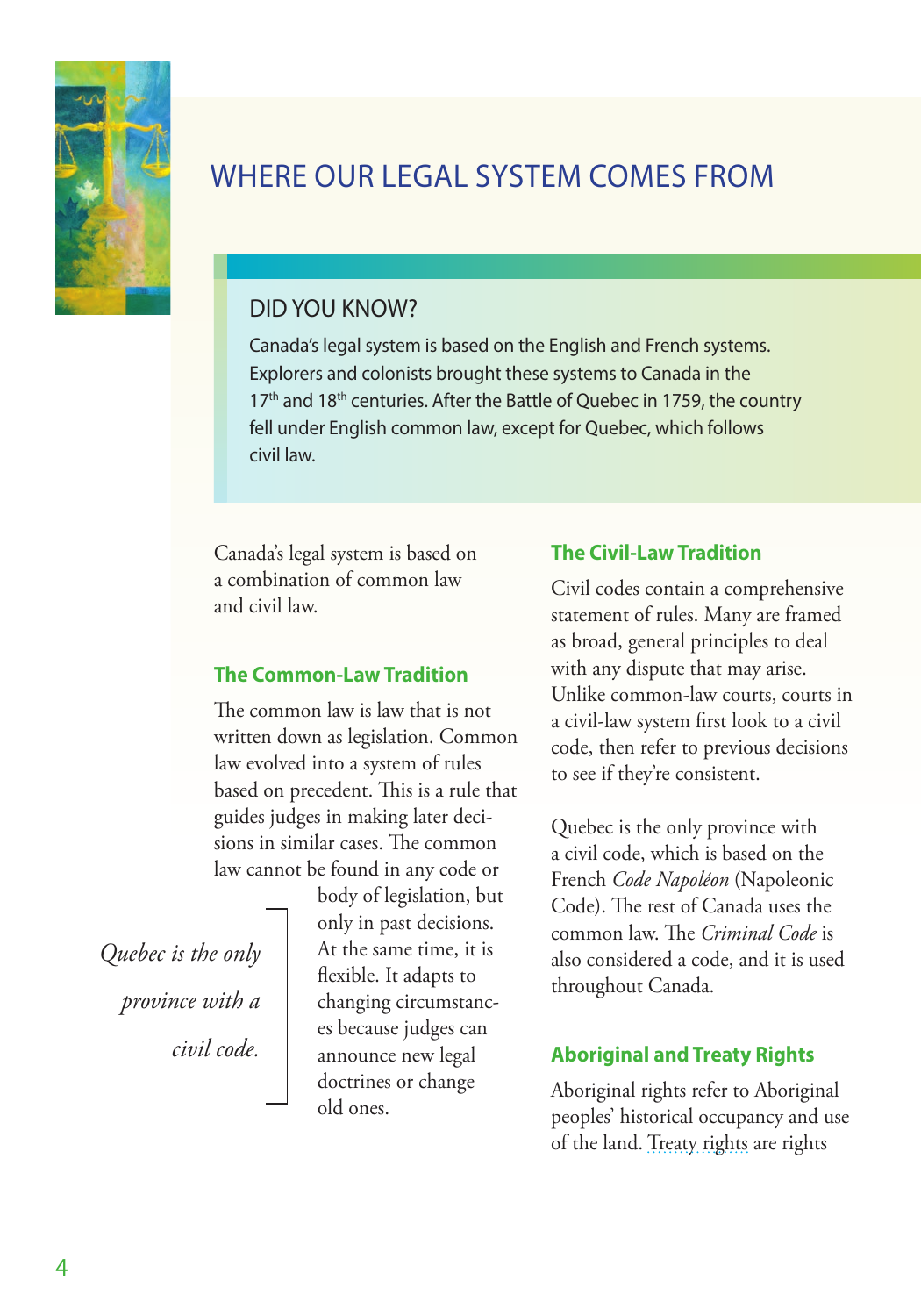<span id="page-9-0"></span>

# WHERE OUR LEGAL SYSTEM COMES FROM

# DID YOU KNOW?

Canada's legal system is based on the English and French systems. Explorers and colonists brought these systems to Canada in the 17<sup>th</sup> and 18<sup>th</sup> centuries. After the Battle of Quebec in 1759, the country fell under English common law, except for Quebec, which follows civil law.

Canada's legal system is based on a combination of common law and civil law.

### **The Common-Law Tradition**

The common law is law that is not written down as legislation. Common law evolved into a system of rules based on precedent. This is a rule that guides judges in making later decisions in similar cases. The common law cannot be found in any code or

*Quebec is the only province with a civil code.*

body of legislation, but only in past decisions. At the same time, it is flexible. It adapts to changing circumstances because judges can announce new legal doctrines or change old ones.

### **The Civil-Law Tradition**

Civil codes contain a comprehensive statement of rules. Many are framed as broad, general principles to deal with any dispute that may arise. Unlike common-law courts, courts in a civil-law system first look to a civil code, then refer to previous decisions to see if they're consistent.

Quebec is the only province with a civil code, which is based on the French *Code Napoléon* (Napoleonic Code). The rest of Canada uses the common law. The *Criminal Code* is also considered a code, and it is used throughout Canada.

### **Aboriginal and Treaty Rights**

Aboriginal rights refer to Aboriginal peoples' historical occupancy and use of the land. [Treaty rights](http://www.aadnc-aandc.gc.ca/eng/1100100028574/1100100028578) are rights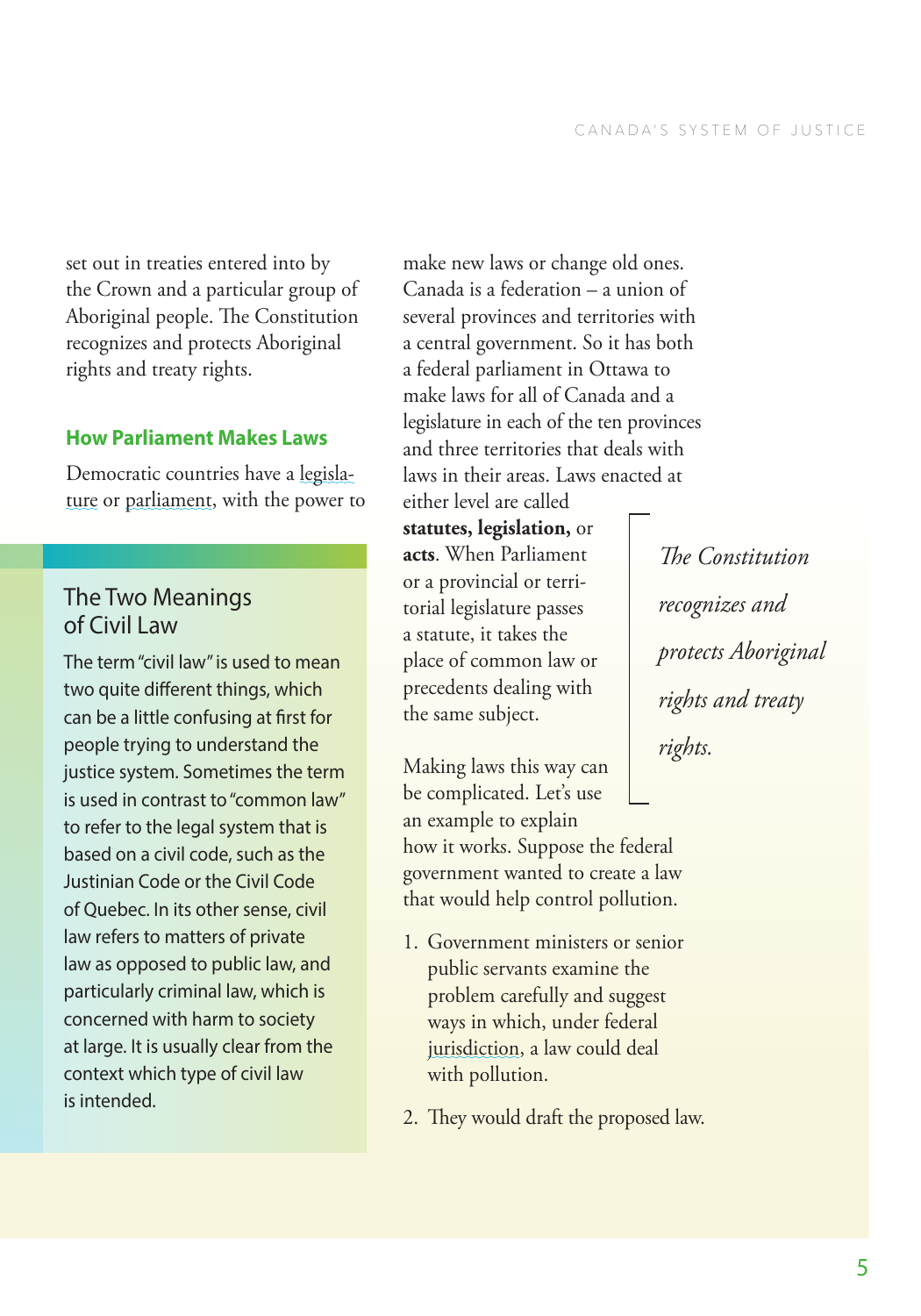<span id="page-10-0"></span>set out in treaties entered into by the Crown and a particular group of Aboriginal people. The Constitution recognizes and protects Aboriginal rights and treaty rights.

### **How Parliament Makes Laws**

Democratic countries have a [legisla](#page-41-0)[ture](#page-41-0) or [parliament](#page-41-0), with the power to

# The Two Meanings of Civil Law

The term "civil law" is used to mean two quite different things, which can be a little confusing at first for people trying to understand the justice system. Sometimes the term is used in contrast to "common law" to refer to the legal system that is based on a civil code, such as the Justinian Code or the Civil Code of Quebec. In its other sense, civil law refers to matters of private law as opposed to public law, and particularly criminal law, which is concerned with harm to society at large. It is usually clear from the context which type of civil law is intended.

make new laws or change old ones. Canada is a federation – a union of several provinces and territories with a central government. So it has both a federal parliament in Ottawa to make laws for all of Canada and a legislature in each of the ten provinces and three territories that deals with laws in their areas. Laws enacted at

either level are called **statutes, legislation,** or **acts**. When Parliament or a provincial or territorial legislature passes a statute, it takes the place of common law or precedents dealing with the same subject.

Making laws this way can be complicated. Let's use an example to explain how it works. Suppose the federal government wanted to create a law that would help control pollution.

- 1. Government ministers or senior public servants examine the problem carefully and suggest ways in which, under federal [jurisdiction](#page-41-0), a law could deal with pollution.
- 2. They would draft the proposed law.

*The Constitution recognizes and protects Aboriginal rights and treaty rights.*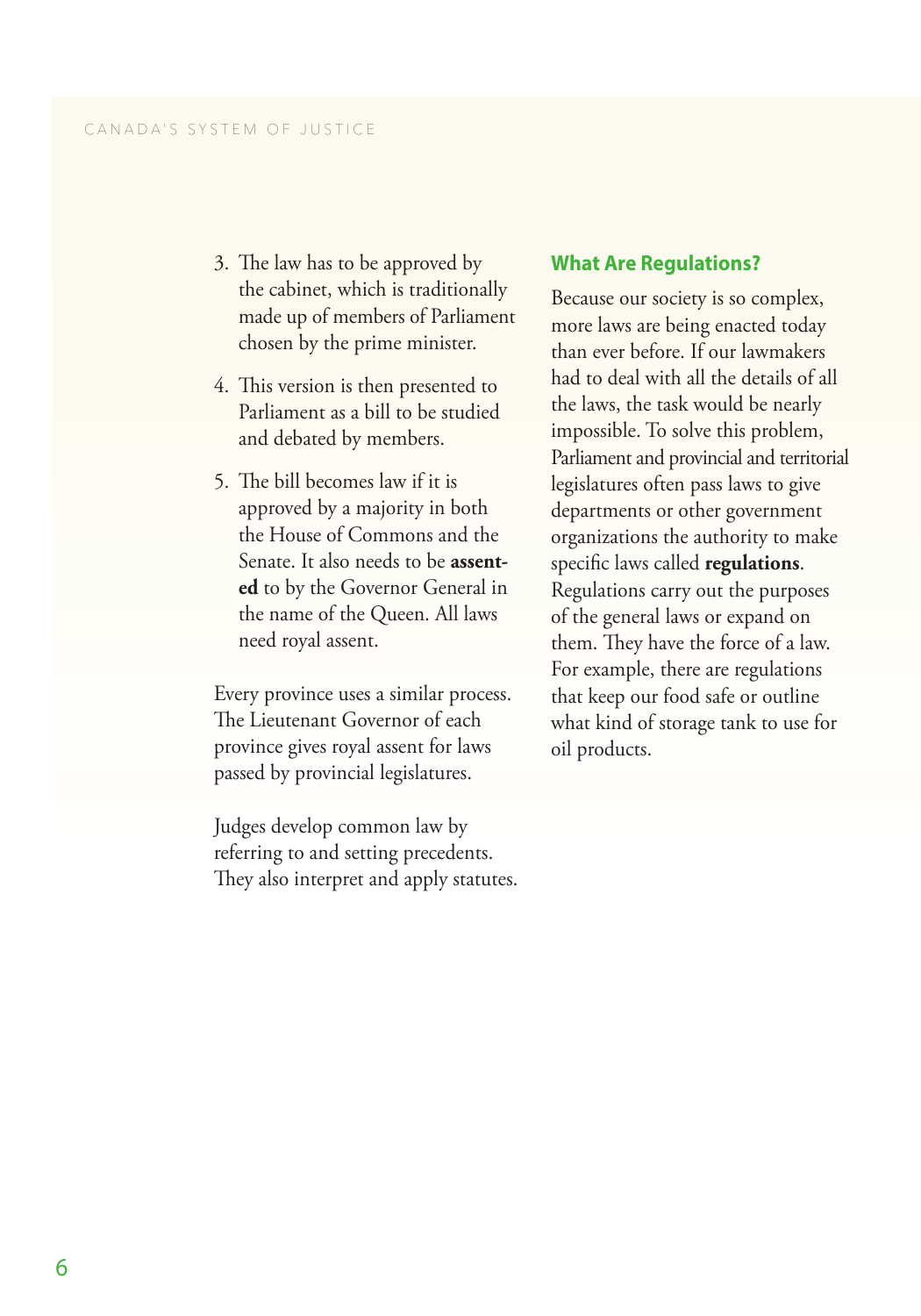- <span id="page-11-0"></span>3. The law has to be approved by the cabinet, which is traditionally made up of members of Parliament chosen by the prime minister.
- 4. This version is then presented to Parliament as a bill to be studied and debated by members.
- 5. The bill becomes law if it is approved by a majority in both the House of Commons and the Senate. It also needs to be **assented** to by the Governor General in the name of the Queen. All laws need royal assent.

Every province uses a similar process. The Lieutenant Governor of each province gives royal assent for laws passed by provincial legislatures.

Judges develop common law by referring to and setting precedents. They also interpret and apply statutes.

#### **What Are Regulations?**

Because our society is so complex, more laws are being enacted today than ever before. If our lawmakers had to deal with all the details of all the laws, the task would be nearly impossible. To solve this problem, Parliament and provincial and territorial legislatures often pass laws to give departments or other government organizations the authority to make specific laws called **regulations**. Regulations carry out the purposes of the general laws or expand on them. They have the force of a law. For example, there are regulations that keep our food safe or outline what kind of storage tank to use for oil products.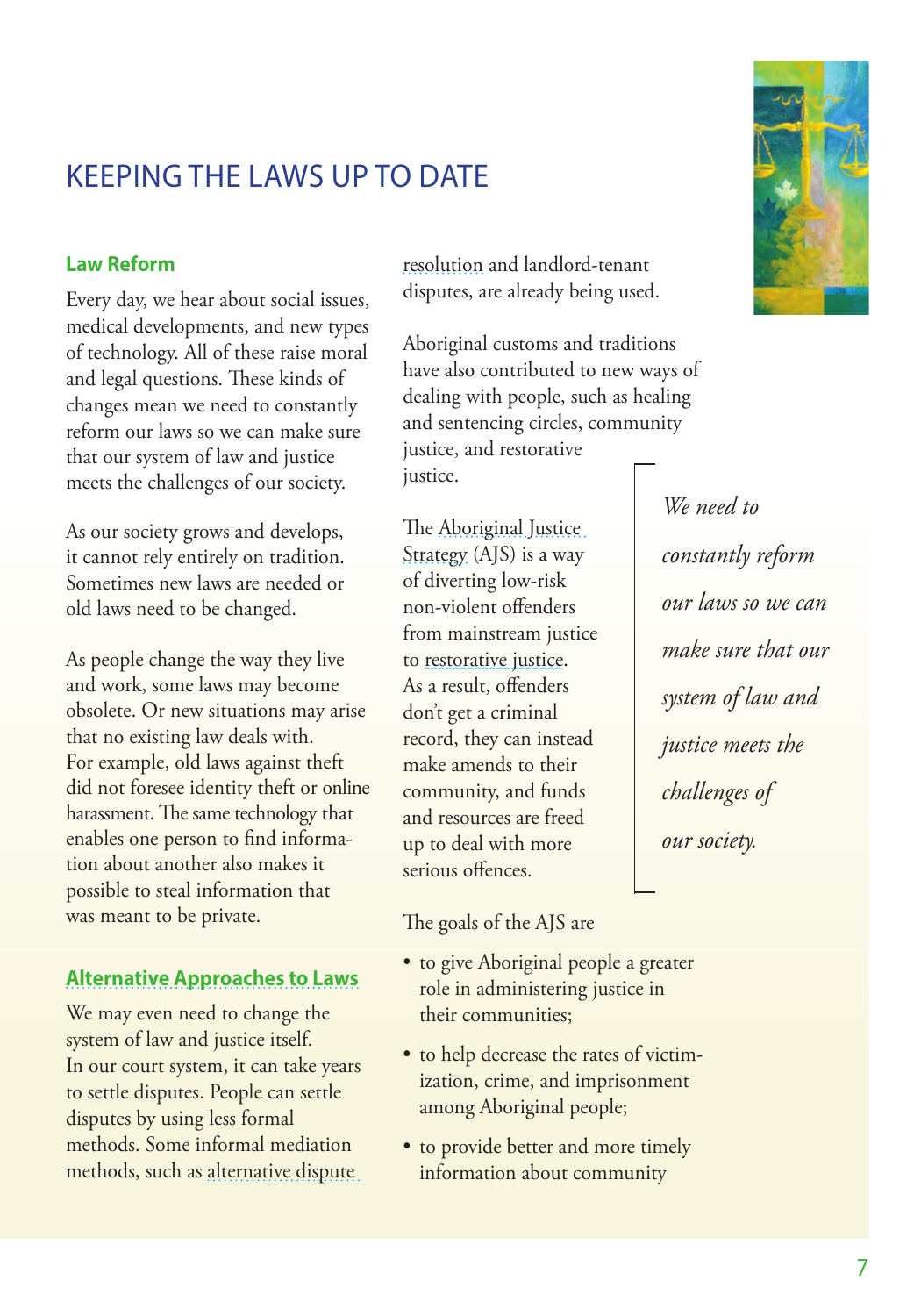# <span id="page-12-0"></span>KEEPING THE LAWS UP TO DATE

### **Law Reform**

Every day, we hear about social issues, medical developments, and new types of technology. All of these raise moral and legal questions. These kinds of changes mean we need to constantly reform our laws so we can make sure that our system of law and justice meets the challenges of our society.

As our society grows and develops, it cannot rely entirely on tradition. Sometimes new laws are needed or old laws need to be changed.

As people change the way they live and work, some laws may become obsolete. Or new situations may arise that no existing law deals with. For example, old laws against theft did not foresee identity theft or online harassment. The same technology that enables one person to find information about another also makes it possible to steal information that was meant to be private.

### **[Alternative Approaches to Laws](http://www.justice.gc.ca/eng/rp-pr/csj-sjc/dprs-sprd/dr-rd/index.html#mediation)**

We may even need to change the system of law and justice itself. In our court system, it can take years to settle disputes. People can settle disputes by using less formal methods. Some informal mediation methods, such as [alternative dispute](http://www.justice.gc.ca/eng/rp-pr/csj-sjc/dprs-sprd/dr-rd/index.html) 

[resolution](http://www.justice.gc.ca/eng/rp-pr/csj-sjc/dprs-sprd/dr-rd/index.html) and landlord-tenant disputes, are already being used.

Aboriginal customs and traditions have also contributed to new ways of dealing with people, such as healing and sentencing circles, community justice, and restorative justice.

The [Aboriginal Justice](http://www.justice.gc.ca/eng/fund-fina/acf-fca/ajs-sja/index.html)  [Strategy](http://www.justice.gc.ca/eng/fund-fina/acf-fca/ajs-sja/index.html) (AJS) is a way of diverting low-risk non-violent offenders from mainstream justice to [restorative justice](#page-41-0). As a result, offenders don't get a criminal record, they can instead make amends to their community, and funds and resources are freed up to deal with more serious offences.

The goals of the AJS are

- to give Aboriginal people a greater role in administering justice in their communities;
- to help decrease the rates of victimization, crime, and imprisonment among Aboriginal people;
- to provide better and more timely information about community



*We need to constantly reform our laws so we can make sure that our system of law and justice meets the challenges of our society.*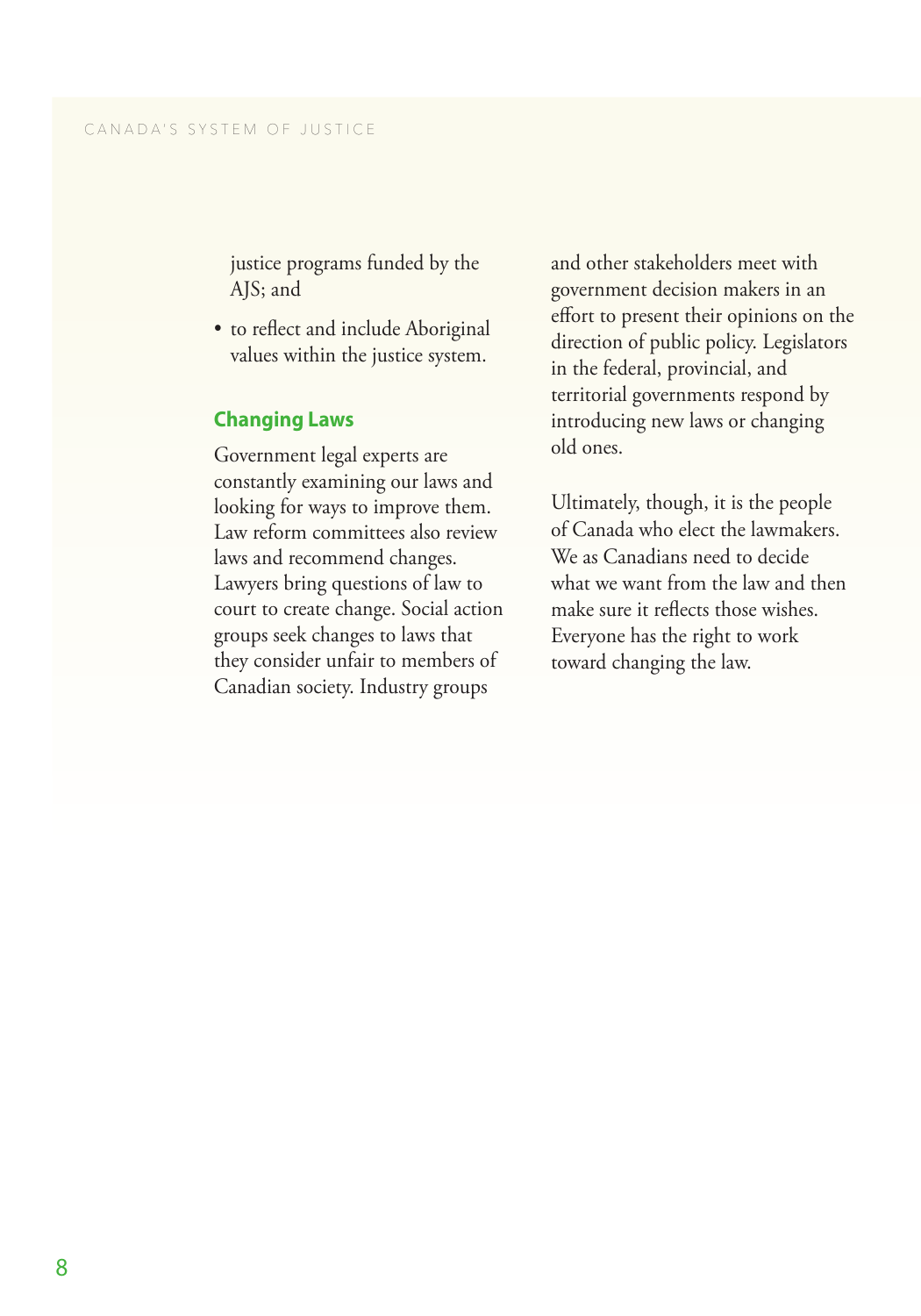<span id="page-13-0"></span>justice programs funded by the AJS; and

• to reflect and include Aboriginal values within the justice system.

#### **Changing Laws**

Government legal experts are constantly examining our laws and looking for ways to improve them. Law reform committees also review laws and recommend changes. Lawyers bring questions of law to court to create change. Social action groups seek changes to laws that they consider unfair to members of Canadian society. Industry groups

and other stakeholders meet with government decision makers in an effort to present their opinions on the direction of public policy. Legislators in the federal, provincial, and territorial governments respond by introducing new laws or changing old ones.

Ultimately, though, it is the people of Canada who elect the lawmakers. We as Canadians need to decide what we want from the law and then make sure it reflects those wishes. Everyone has the right to work toward changing the law.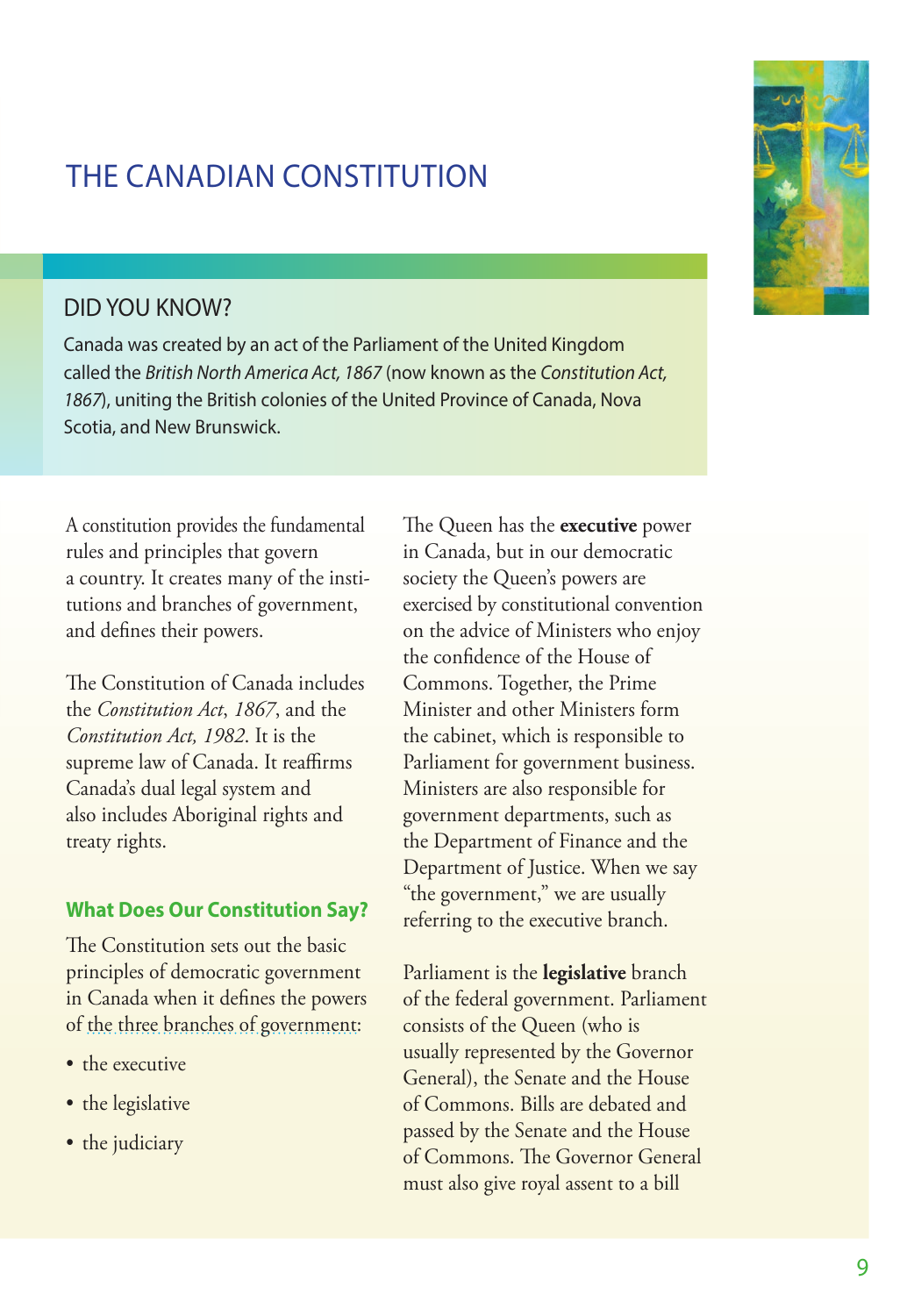# <span id="page-14-0"></span>THE CANADIAN CONSTITUTION

# DID YOU KNOW?

Canada was created by an act of the Parliament of the United Kingdom called the *British North America Act, 1867* (now known as the *Constitution Act, 1867*), uniting the British colonies of the United Province of Canada, Nova Scotia, and New Brunswick.

A constitution provides the fundamental rules and principles that govern a country. It creates many of the institutions and branches of government, and defines their powers.

The Constitution of Canada includes the *Constitution Act*, *1867*, and the *Constitution Act, 1982*. It is the supreme law of Canada. It reaffirms Canada's dual legal system and also includes Aboriginal rights and treaty rights.

### **What Does Our Constitution Say?**

The Constitution sets out the basic principles of democratic government in Canada when it defines the powers of [the three branches of government](http://www.parl.gc.ca/About/Parliament/Education/OurCountryOurParliament/html_booklet/overview-canadian-parliamentary-system-e.html):

- the executive
- the legislative
- the judiciary

The Queen has the **executive** power in Canada, but in our democratic society the Queen's powers are exercised by constitutional convention on the advice of Ministers who enjoy the confidence of the House of Commons. Together, the Prime Minister and other Ministers form the cabinet, which is responsible to Parliament for government business. Ministers are also responsible for government departments, such as the Department of Finance and the Department of Justice. When we say "the government," we are usually referring to the executive branch.

Parliament is the **legislative** branch of the federal government. Parliament consists of the Queen (who is usually represented by the Governor General), the Senate and the House of Commons. Bills are debated and passed by the Senate and the House of Commons. The Governor General must also give royal assent to a bill



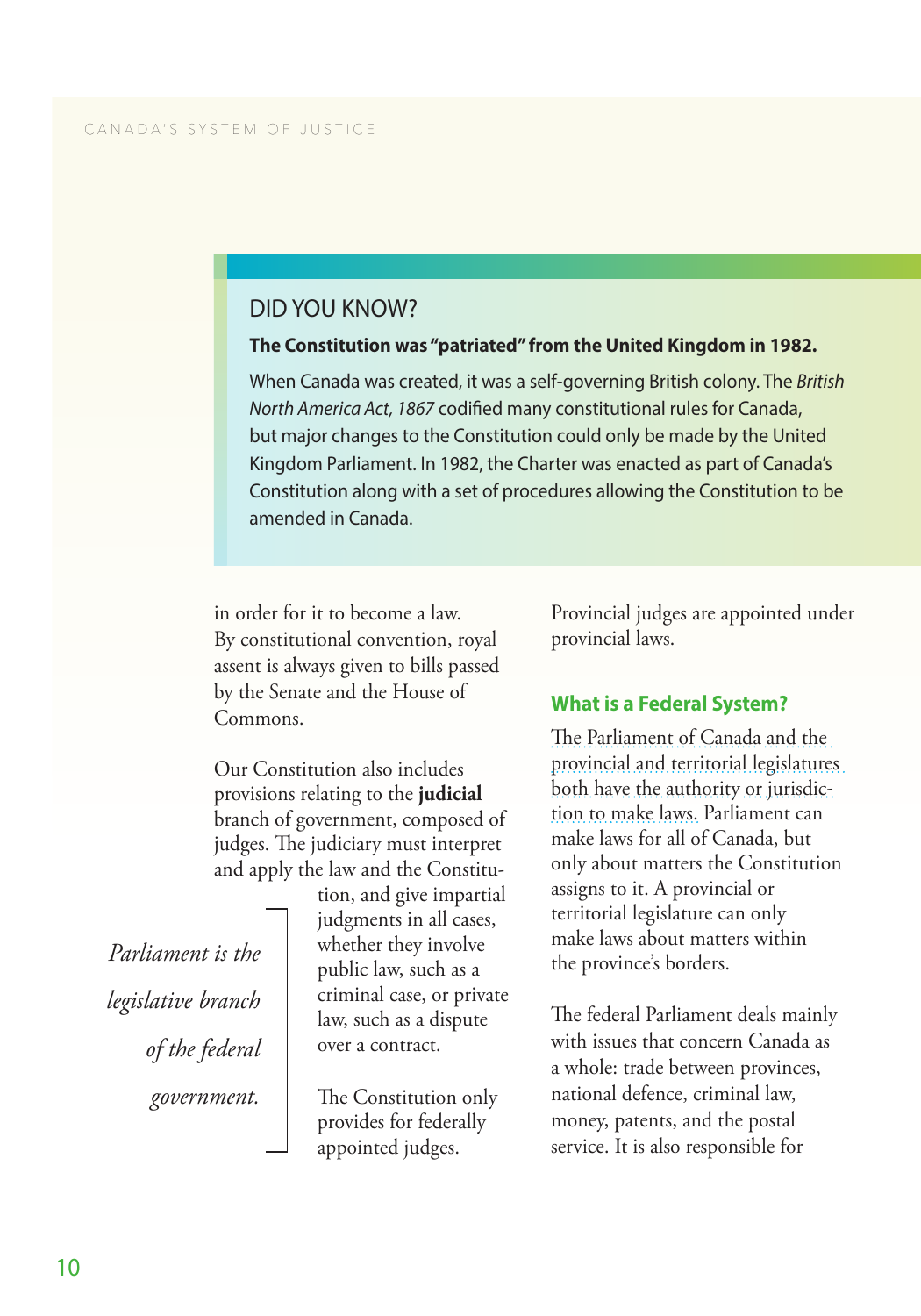# <span id="page-15-0"></span>DID YOU KNOW?

#### **The Constitution was "patriated" from the United Kingdom in 1982.**

When Canada was created, it was a self-governing British colony. The *British North America Act, 1867* codified many constitutional rules for Canada, but major changes to the Constitution could only be made by the United Kingdom Parliament. In 1982, the Charter was enacted as part of Canada's Constitution along with a set of procedures allowing the Constitution to be amended in Canada.

in order for it to become a law. By constitutional convention, royal assent is always given to bills passed by the Senate and the House of Commons.

Our Constitution also includes provisions relating to the **judicial** branch of government, composed of judges. The judiciary must interpret and apply the law and the Constitu-

> tion, and give impartial judgments in all cases, whether they involve public law, such as a criminal case, or private law, such as a dispute over a contract.

The Constitution only provides for federally appointed judges.

Provincial judges are appointed under provincial laws.

### **What is a Federal System?**

[The Parliament of Canada and the](http://www.parl.gc.ca/About/Parliament/Education/OurCountryOurParliament/html_booklet/three-levels-government-e.html)  [provincial and territorial legislatures](http://www.parl.gc.ca/About/Parliament/Education/OurCountryOurParliament/html_booklet/three-levels-government-e.html)  [both have the authority or jurisdic](http://www.parl.gc.ca/About/Parliament/Education/OurCountryOurParliament/html_booklet/three-levels-government-e.html)[tion to make laws.](http://www.parl.gc.ca/About/Parliament/Education/OurCountryOurParliament/html_booklet/three-levels-government-e.html) Parliament can make laws for all of Canada, but only about matters the Constitution assigns to it. A provincial or territorial legislature can only make laws about matters within the province's borders.

The federal Parliament deals mainly with issues that concern Canada as a whole: trade between provinces, national defence, criminal law, money, patents, and the postal service. It is also responsible for

*Parliament is the legislative branch of the federal government.*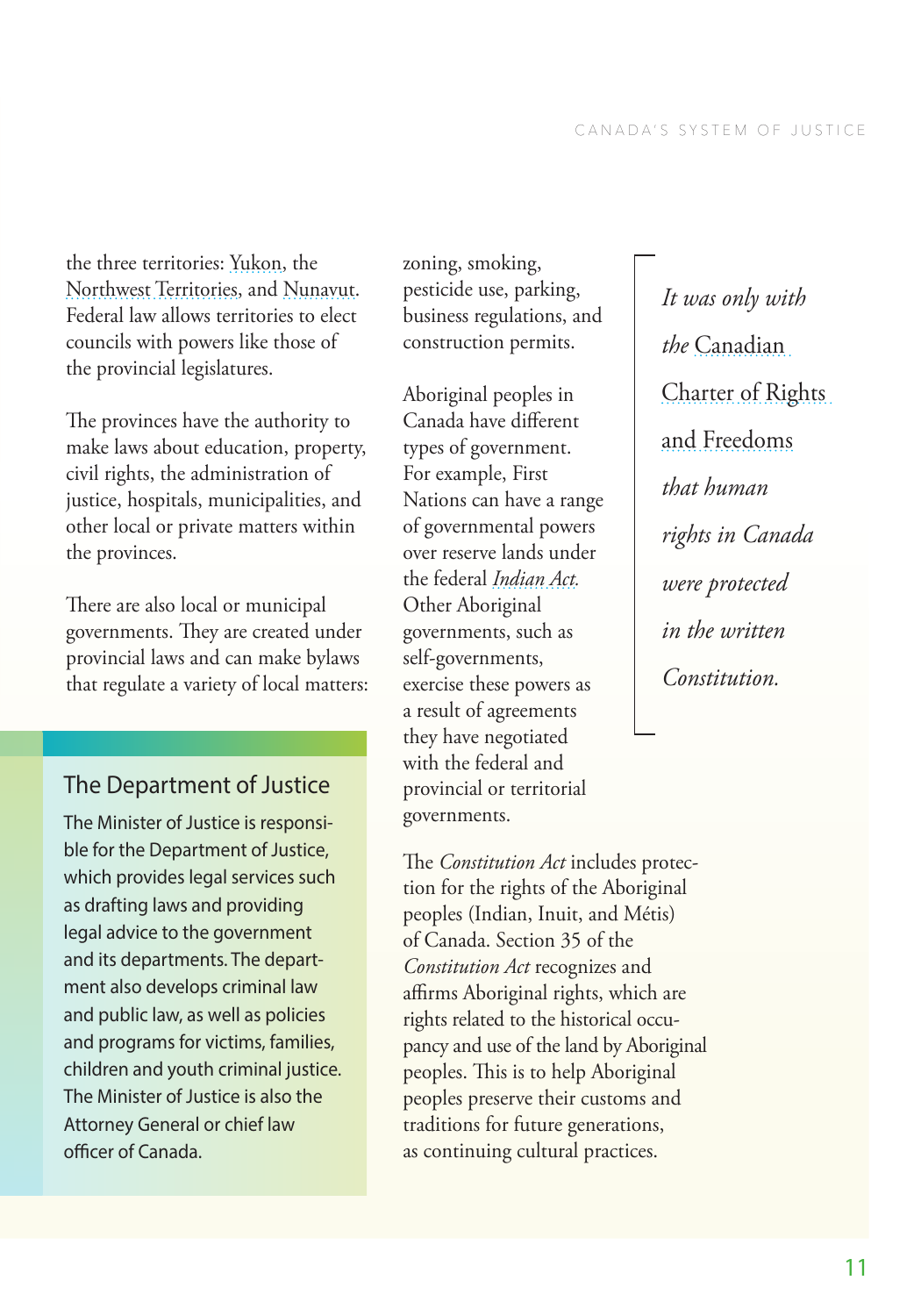the three territories: [Yukon](http://www.gov.yk.ca/), the [Northwest Territories,](http://www.gov.nt.ca/) and [Nunavut](http://www.gov.nu.ca/). Federal law allows territories to elect councils with powers like those of the provincial legislatures.

The provinces have the authority to make laws about education, property, civil rights, the administration of justice, hospitals, municipalities, and other local or private matters within the provinces.

There are also local or municipal governments. They are created under provincial laws and can make bylaws that regulate a variety of local matters:

# The Department of Justice

The Minister of Justice is responsible for the Department of Justice, which provides legal services such as drafting laws and providing legal advice to the government and its departments. The department also develops criminal law and public law, as well as policies and programs for victims, families, children and youth criminal justice. The Minister of Justice is also the Attorney General or chief law officer of Canada.

zoning, smoking, pesticide use, parking, business regulations, and construction permits.

Aboriginal peoples in Canada have different types of government. For example, First Nations can have a range of governmental powers over reserve lands under the federal *[Indian Act.](http://laws-lois.justice.gc.ca/eng/acts/i-5/)* Other Aboriginal governments, such as self-governments, exercise these powers as a result of agreements they have negotiated with the federal and provincial or territorial governments.

The *Constitution Act* includes protection for the rights of the Aboriginal peoples (Indian, Inuit, and Métis) of Canada. Section 35 of the *Constitution Act* recognizes and affirms Aboriginal rights, which are rights related to the historical occupancy and use of the land by Aboriginal peoples. This is to help Aboriginal peoples preserve their customs and traditions for future generations, as continuing cultural practices.

*It was only with the* [Canadian](http://laws-lois.justice.gc.ca/eng/const/page-15.html)  [Charter of Rights](http://laws-lois.justice.gc.ca/eng/const/page-15.html)  [and Freedoms](http://laws-lois.justice.gc.ca/eng/const/page-15.html) *that human rights in Canada were protected in the written Constitution.*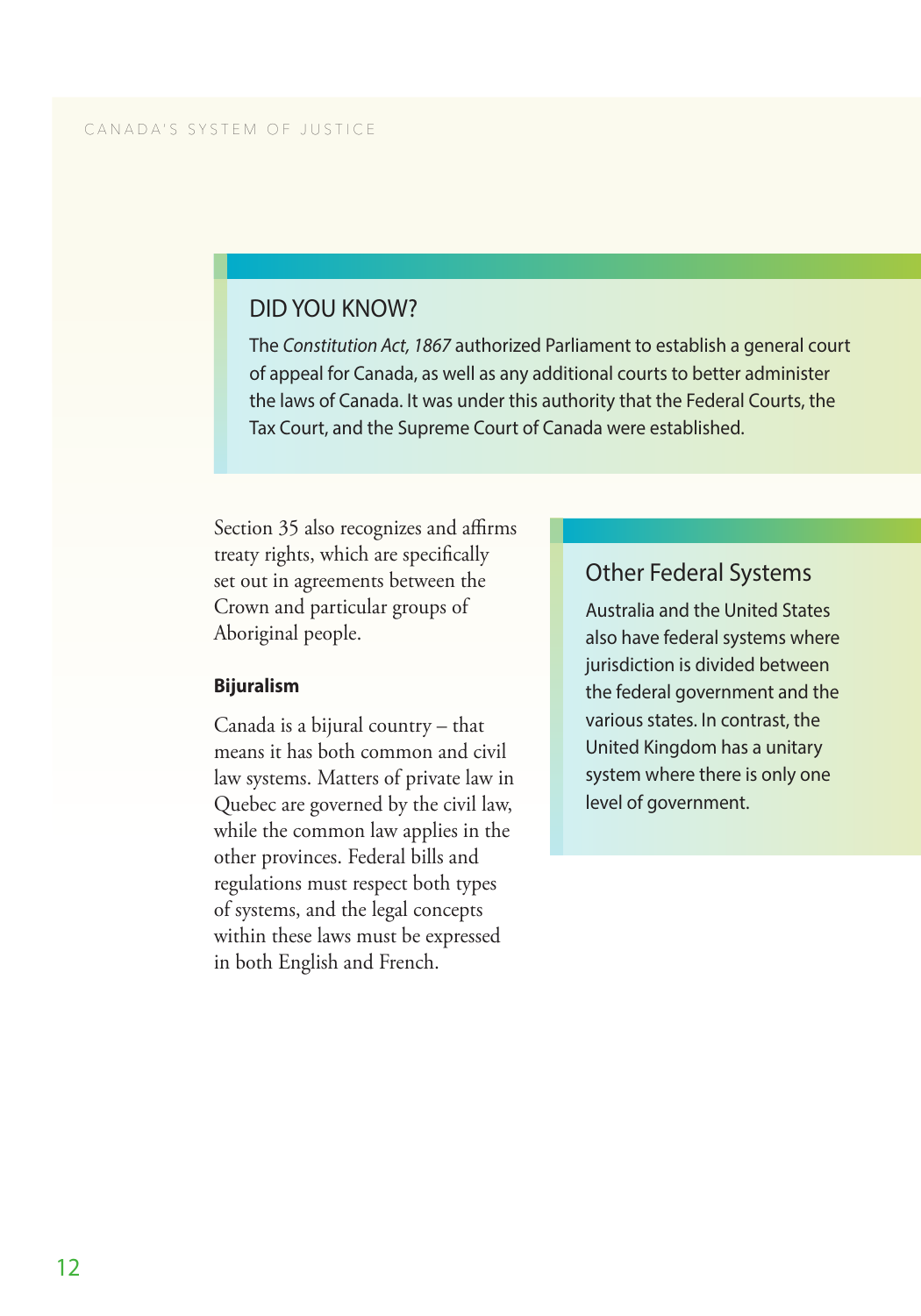# DID YOU KNOW?

The *Constitution Act, 1867* authorized Parliament to establish a general court of appeal for Canada, as well as any additional courts to better administer the laws of Canada. It was under this authority that the Federal Courts, the Tax Court, and the Supreme Court of Canada were established.

Section 35 also recognizes and affirms treaty rights, which are specifically set out in agreements between the Crown and particular groups of Aboriginal people.

#### **Bijuralism**

Canada is a bijural country – that means it has both common and civil law systems. Matters of private law in Quebec are governed by the civil law, while the common law applies in the other provinces. Federal bills and regulations must respect both types of systems, and the legal concepts within these laws must be expressed in both English and French.

## Other Federal Systems

Australia and the United States also have federal systems where jurisdiction is divided between the federal government and the various states. In contrast, the United Kingdom has a unitary system where there is only one level of government.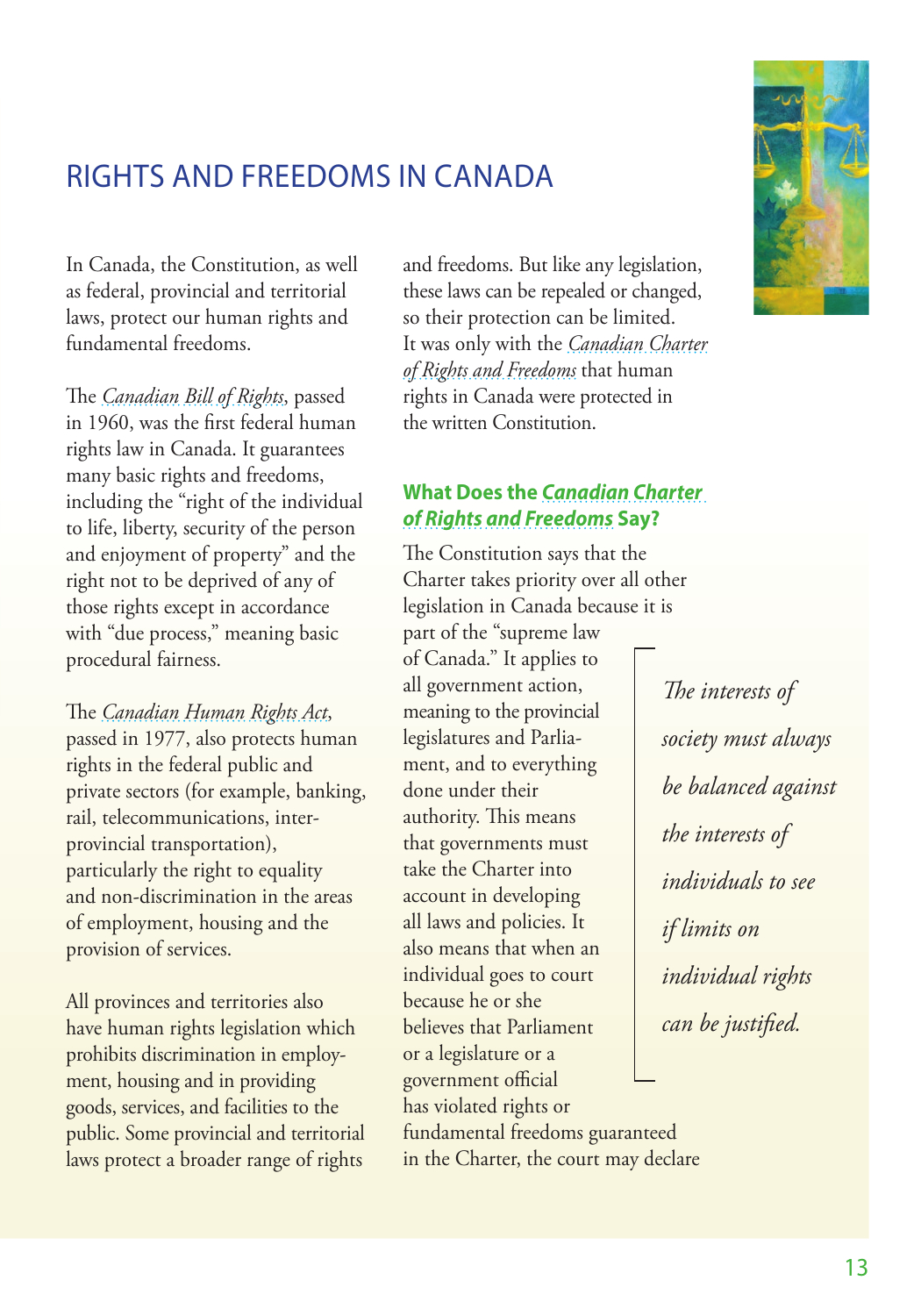# 13

# <span id="page-18-0"></span>RIGHTS AND FREEDOMS IN CANADA

In Canada, the Constitution, as well as federal, provincial and territorial laws, protect our human rights and fundamental freedoms.

The *[Canadian Bill of Rights](http://laws-lois.justice.gc.ca/eng/acts/c-12.3/FullText.html)*, passed in 1960, was the first federal human rights law in Canada. It guarantees many basic rights and freedoms, including the "right of the individual to life, liberty, security of the person and enjoyment of property" and the right not to be deprived of any of those rights except in accordance with "due process," meaning basic procedural fairness.

The *[Canadian Human Rights Act](http://laws-lois.justice.gc.ca/eng/acts/h-6/)*, passed in 1977, also protects human rights in the federal public and private sectors (for example, banking, rail, telecommunications, interprovincial transportation), particularly the right to equality and non-discrimination in the areas of employment, housing and the provision of services.

All provinces and territories also have human rights legislation which prohibits discrimination in employment, housing and in providing goods, services, and facilities to the public. Some provincial and territorial laws protect a broader range of rights

and freedoms. But like any legislation, these laws can be repealed or changed, so their protection can be limited. It was only with the *[Canadian Charter](http://laws-lois.justice.gc.ca/eng/const/page-15.html)  [of Rights and Freedoms](http://laws-lois.justice.gc.ca/eng/const/page-15.html)* that human rights in Canada were protected in the written Constitution.

# **What Does the** *[Canadian Charter](http://www.pch.gc.ca/eng/1356631760121/1356631904950)  [of Rights and Freedoms](http://www.pch.gc.ca/eng/1356631760121/1356631904950)* **Say?**

The Constitution says that the Charter takes priority over all other legislation in Canada because it is

part of the "supreme law of Canada." It applies to all government action, meaning to the provincial legislatures and Parliament, and to everything done under their authority. This means that governments must take the Charter into account in developing all laws and policies. It also means that when an individual goes to court because he or she believes that Parliament or a legislature or a government official has violated rights or fundamental freedoms guaranteed in the Charter, the court may declare

*The interests of society must always be balanced against the interests of individuals to see if limits on individual rights can be justified.*

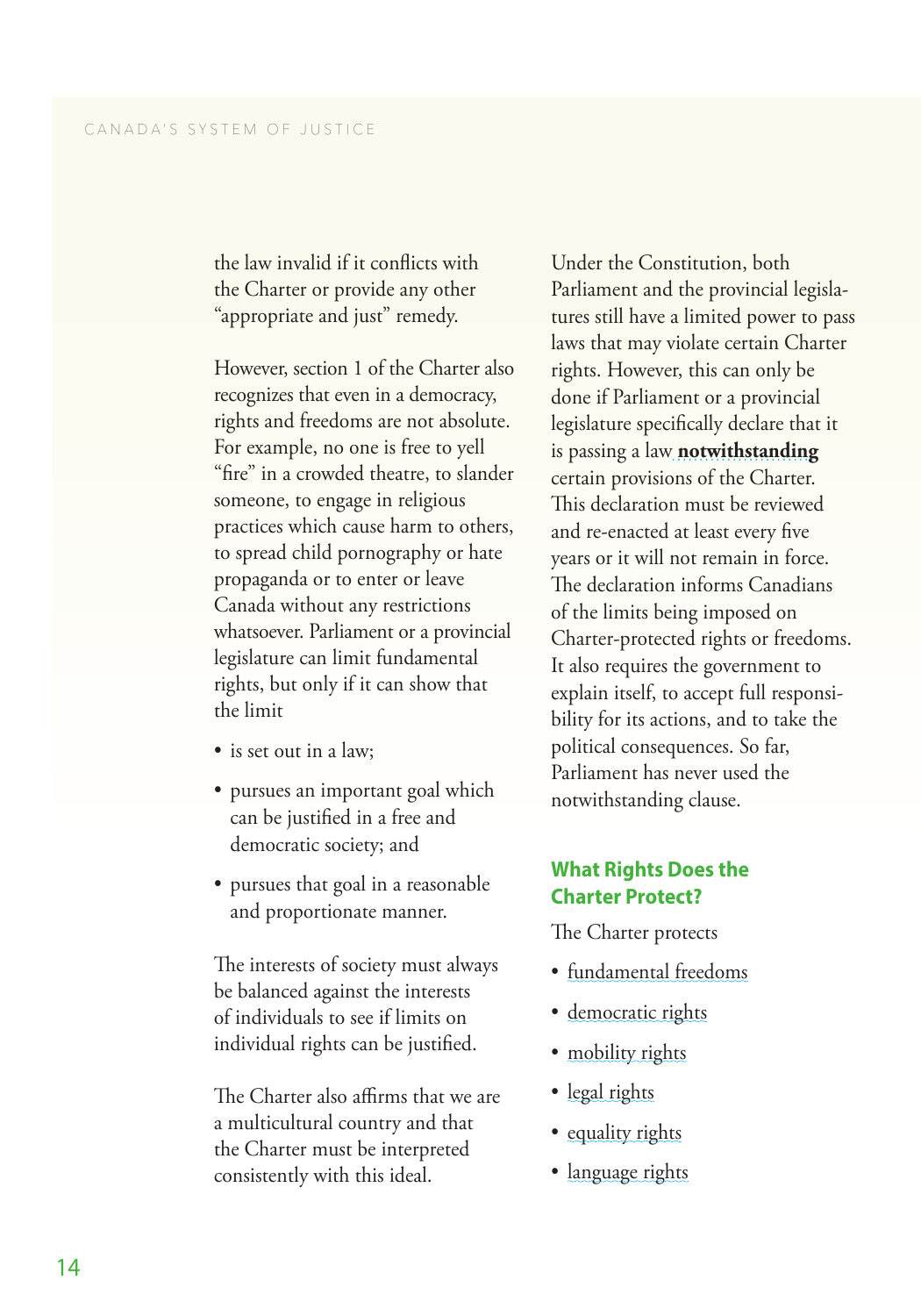<span id="page-19-0"></span>the law invalid if it conflicts with the Charter or provide any other "appropriate and just" remedy.

However, section 1 of the Charter also recognizes that even in a democracy, rights and freedoms are not absolute. For example, no one is free to yell "fire" in a crowded theatre, to slander someone, to engage in religious practices which cause harm to others, to spread child pornography or hate propaganda or to enter or leave Canada without any restrictions whatsoever. Parliament or a provincial legislature can limit fundamental rights, but only if it can show that the limit

- 
- is set out in a law; pursues an important goal which can be justified in a free and democratic society; and
- pursues that goal in a reasonable and proportionate manner.

The interests of society must always be balanced against the interests of individuals to see if limits on individual rights can be justified.

The Charter also affirms that we are a multicultural country and that the Charter must be interpreted consistently with this ideal.

Under the Constitution, both Parliament and the provincial legisla tures still have a limited power to pass laws that may violate certain Charter rights. However, this can only be done if Parliament or a provincial legislature specifically declare that it is passing a law **[notwithstanding](http://www.parl.gc.ca/content/lop/researchpublications/bp194-e.htm)** certain provisions of the Charter. This declaration must be reviewed and re-enacted at least every five years or it will not remain in force. The declaration informs Canadians of the limits being imposed on Charter-protected rights or freedoms. It also requires the government to explain itself, to accept full responsi bility for its actions, and to take the political consequences. So far, Parliament has never used the notwithstanding clause.

### **What Rights Does the Charter Protect?**

- The Charter protects<br>• fundamental freedoms
- [democratic rights](#page-20-0)
- [mobility rights](#page-20-0)
- [legal rights](#page-21-0)
- [equality rights](#page-22-0)
- [language rights](#page-23-0)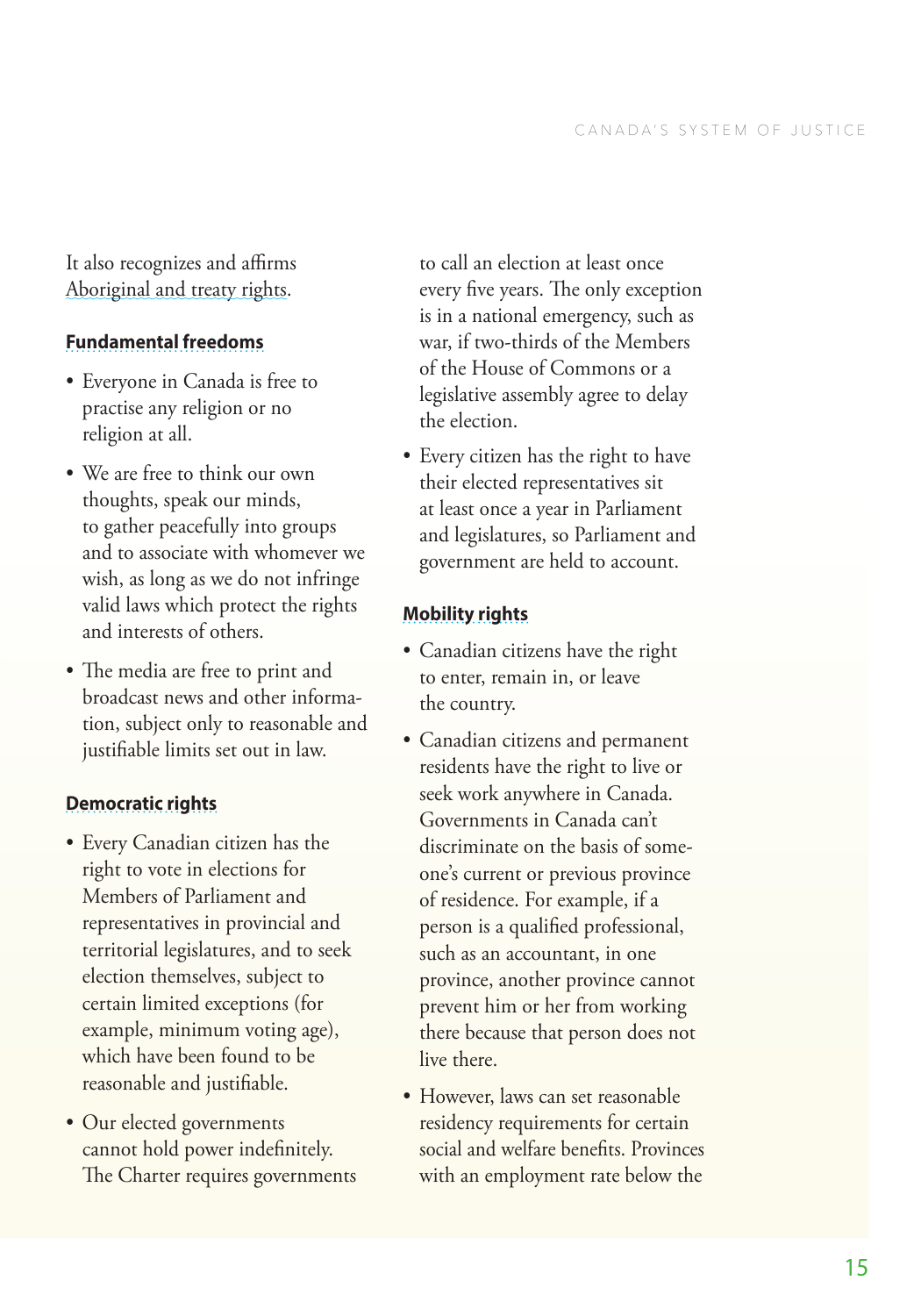<span id="page-20-0"></span>It also recognizes and affirms [Aboriginal and treaty rights.](#page-24-0)

### **[Fundamental freedoms](http://www.pch.gc.ca/eng/1355931062024/1355931133880)**

- Everyone in Canada is free to practise any religion or no religion at all.
- We are free to think our own thoughts, speak our minds, to gather peacefully into groups and to associate with whomever we wish, as long as we do not infringe valid laws which protect the rights and interests of others.
- The media are free to print and broadcast news and other informa tion, subject only to reasonable and justifiable limits set out in law.

### **[Democratic rights](http://www.pch.gc.ca/eng/1355347668664/1355347733495)**

- Every Canadian citizen has the right to vote in elections for Members of Parliament and representatives in provincial and territorial legislatures, and to seek election themselves, subject to certain limited exceptions (for example, minimum voting age), which have been found to be reasonable and justifiable.
- Our elected governments cannot hold power indefinitely. The Charter requires governments

to call an election at least once every five years. The only exception is in a national emergency, such as war, if two-thirds of the Members of the House of Commons or a legislative assembly agree to delay the election.

• Every citizen has the right to have their elected representatives sit at least once a year in Parliament and legislatures, so Parliament and government are held to account.

### **[Mobility rights](http://www.pch.gc.ca/eng/1356638440337/1356638551250)**

- Canadian citizens have the right to enter, remain in, or leave the country.
- Canadian citizens and permanent residents have the right to live or seek work anywhere in Canada. Governments in Canada can't discriminate on the basis of some one's current or previous province of residence. For example, if a person is a qualified professional, such as an accountant, in one province, another province cannot prevent him or her from working there because that person does not live there.
- However, laws can set reasonable residency requirements for certain social and welfare benefits. Provinces with an employment rate below the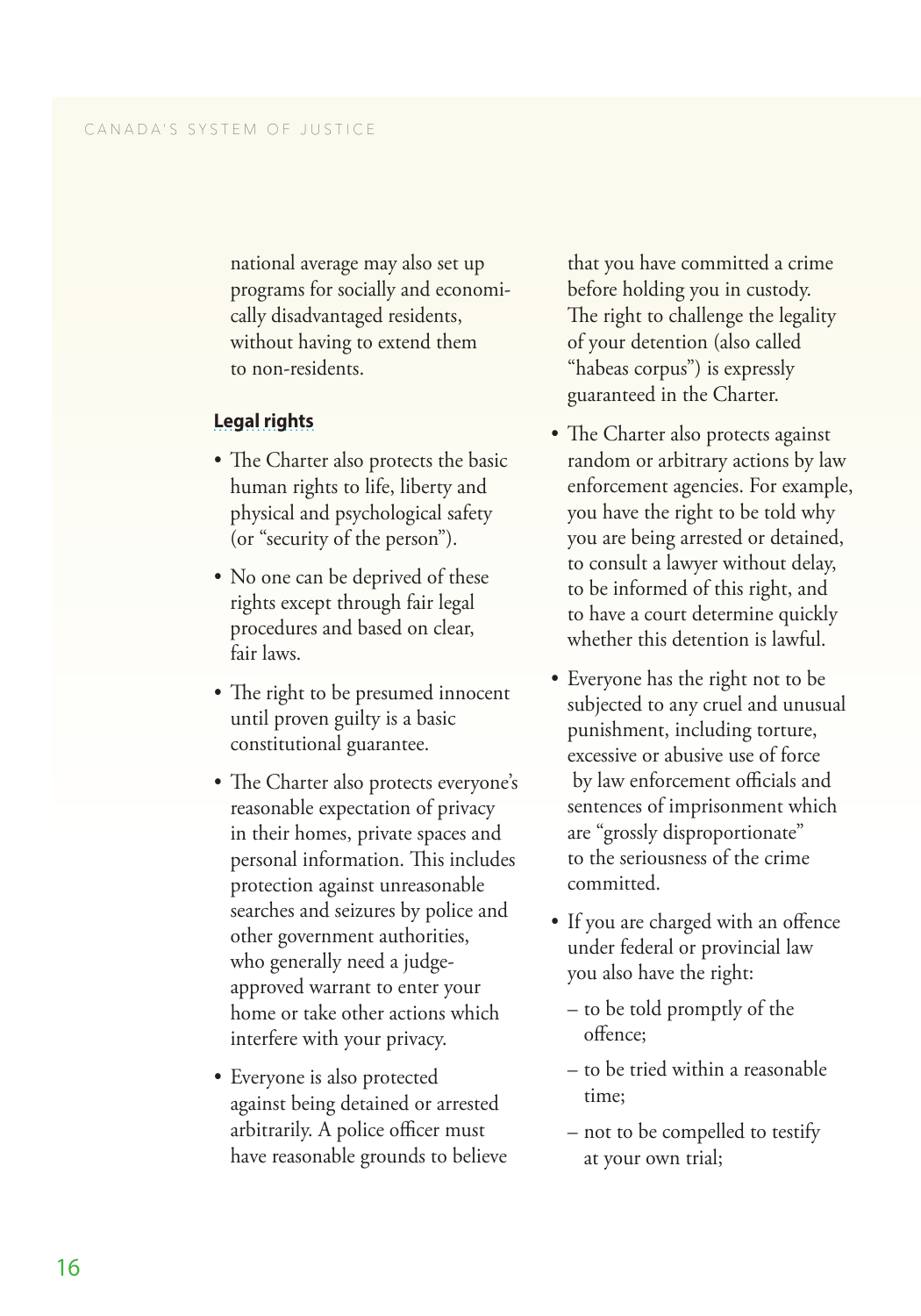<span id="page-21-0"></span>national average may also set up programs for socially and economi cally disadvantaged residents, without having to extend them to non-residents.

#### **[Legal rights](http://www.pch.gc.ca/eng/1356636395105/1356636488152)**

- The Charter also protects the basic human rights to life, liberty and physical and psychological safety (or "security of the person").
- No one can be deprived of these rights except through fair legal procedures and based on clear, fair laws.
- The right to be presumed innocent until proven guilty is a basic constitutional guarantee.
- The Charter also protects everyone's reasonable expectation of privacy in their homes, private spaces and personal information. This includes protection against unreasonable searches and seizures by police and other government authorities, who generally need a judgeapproved warrant to enter your home or take other actions which interfere with your privacy.
- Everyone is also protected against being detained or arrested arbitrarily. A police officer must have reasonable grounds to believe

that you have committed a crime before holding you in custody. The right to challenge the legality of your detention (also called "habeas corpus") is expressly guaranteed in the Charter.

- The Charter also protects against random or arbitrary actions by law enforcement agencies. For example, you have the right to be told why you are being arrested or detained, to consult a lawyer without delay, to be informed of this right, and to have a court determine quickly whether this detention is lawful.
- Everyone has the right not to be subjected to any cruel and unusual punishment, including torture, excessive or abusive use of force by law enforcement officials and sentences of imprisonment which are "grossly disproportionate" to the seriousness of the crime committed.
- If you are charged with an offence under federal or provincial law
	- you also have the right: to be told promptly of the offence;
	- to be tried within a reasonable time;
	- not to be compelled to testify at your own trial;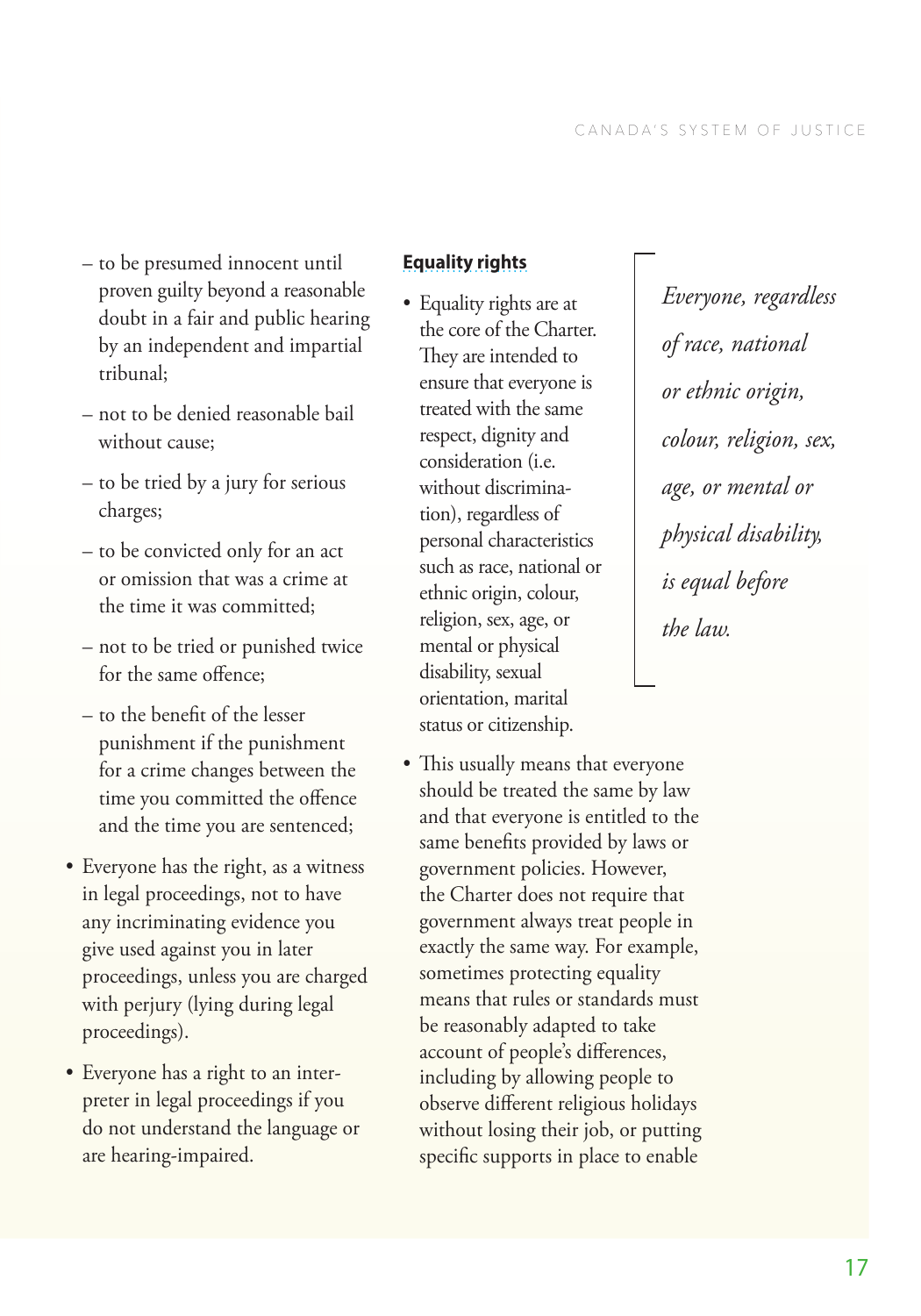- <span id="page-22-0"></span>– to be presumed innocent until proven guilty beyond a reasonable doubt in a fair and public hearing by an independent and impartial tribunal;
- not to be denied reasonable bail without cause;
- to be tried by a jury for serious charges;
- to be convicted only for an act or omission that was a crime at the time it was committed;
- not to be tried or punished twice for the same offence;
- to the benefit of the lesser punishment if the punishment for a crime changes between the time you committed the offence and the time you are sentenced;
- Everyone has the right, as a witness in legal proceedings, not to have any incriminating evidence you give used against you in later proceedings, unless you are charged with perjury (lying during legal proceedings).
- Everyone has a right to an interpreter in legal proceedings if you do not understand the language or are hearing-impaired.

### **[Equality rights](http://www.pch.gc.ca/eng/1355929397607/1355929510108)**

- Equality rights are at the core of the Charter. They are intended to ensure that everyone is treated with the same respect, dignity and consideration (i.e. without discrimination), regardless of personal characteristics such as race, national or ethnic origin, colour, religion, sex, age, or mental or physical disability, sexual orientation, marital status or citizenship.
- This usually means that everyone should be treated the same by law and that everyone is entitled to the same benefits provided by laws or government policies. However, the Charter does not require that government always treat people in exactly the same way. For example, sometimes protecting equality means that rules or standards must be reasonably adapted to take account of people's differences, including by allowing people to observe different religious holidays without losing their job, or putting specific supports in place to enable

*Everyone, regardless of race, national or ethnic origin, colour, religion, sex, age, or mental or physical disability, is equal before the law.*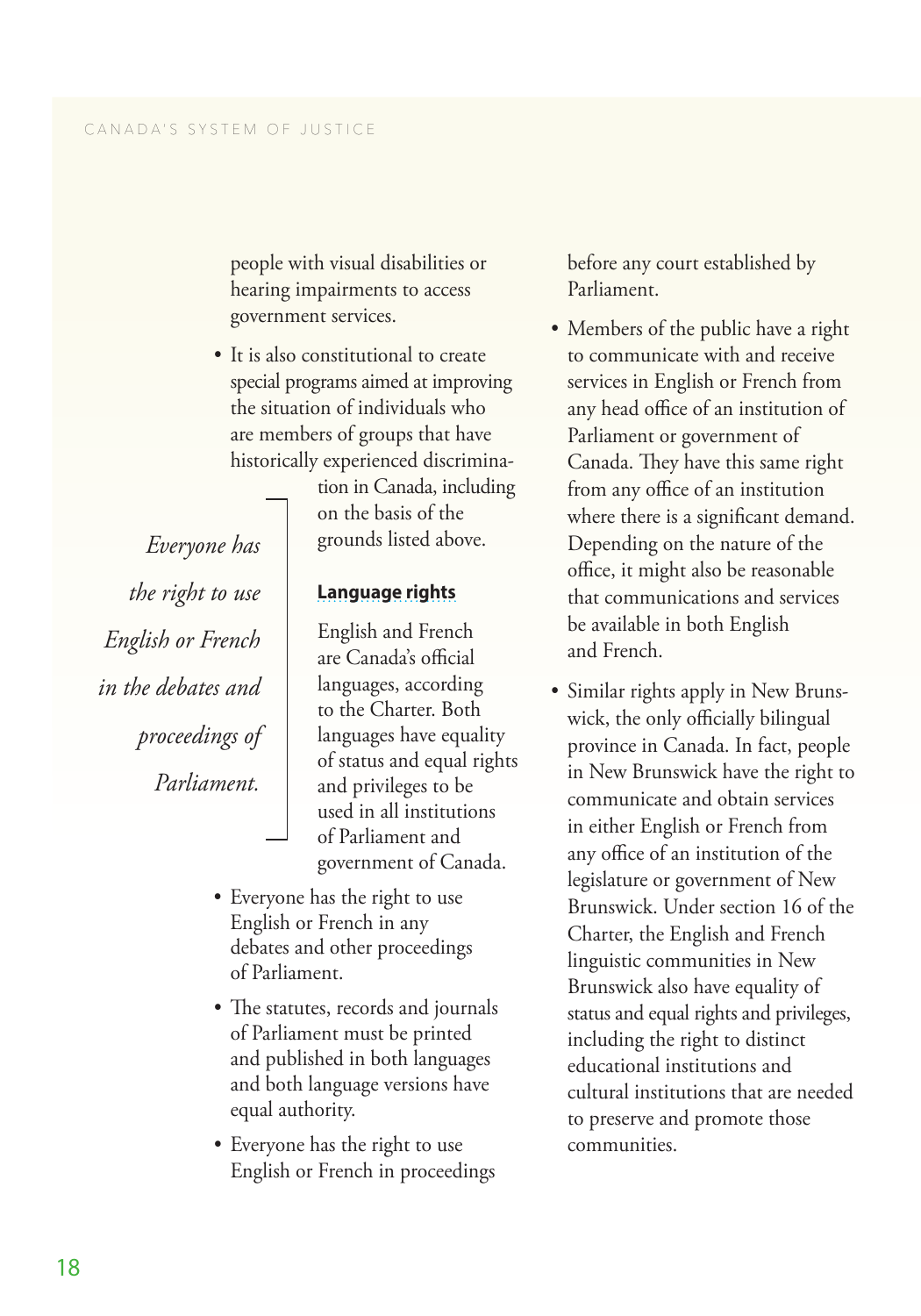<span id="page-23-0"></span>people with visual disabilities or hearing impairments to access government services.

• It is also constitutional to create special programs aimed at improving the situation of individuals who are members of groups that have historically experienced discrimina-

tion in Canada, including on the basis of the grounds listed above.

*Everyone has the right to use English or French in the debates and proceedings of Parliament.*

**[Language rights](http://www.pch.gc.ca/eng/1355758063896/1355758238451)**

English and French are Canada's official languages, according to the Charter. Both languages have equality of status and equal rights and privileges to be used in all institutions of Parliament and government of Canada.

- Everyone has the right to use English or French in any debates and other proceedings of Parliament.
- The statutes, records and journals of Parliament must be printed and published in both languages and both language versions have equal authority.
- Everyone has the right to use English or French in proceedings

before any court established by Parliament.

- Members of the public have a right to communicate with and receive services in English or French from any head office of an institution of Parliament or government of Canada. They have this same right from any office of an institution where there is a significant demand. Depending on the nature of the office, it might also be reasonable that communications and services be available in both English and French.
- Similar rights apply in New Brunswick, the only officially bilingual province in Canada. In fact, people in New Brunswick have the right to communicate and obtain services in either English or French from any office of an institution of the legislature or government of New Brunswick. Under section 16 of the Charter, the English and French linguistic communities in New Brunswick also have equality of status and equal rights and privileges, including the right to distinct educational institutions and cultural institutions that are needed to preserve and promote those communities.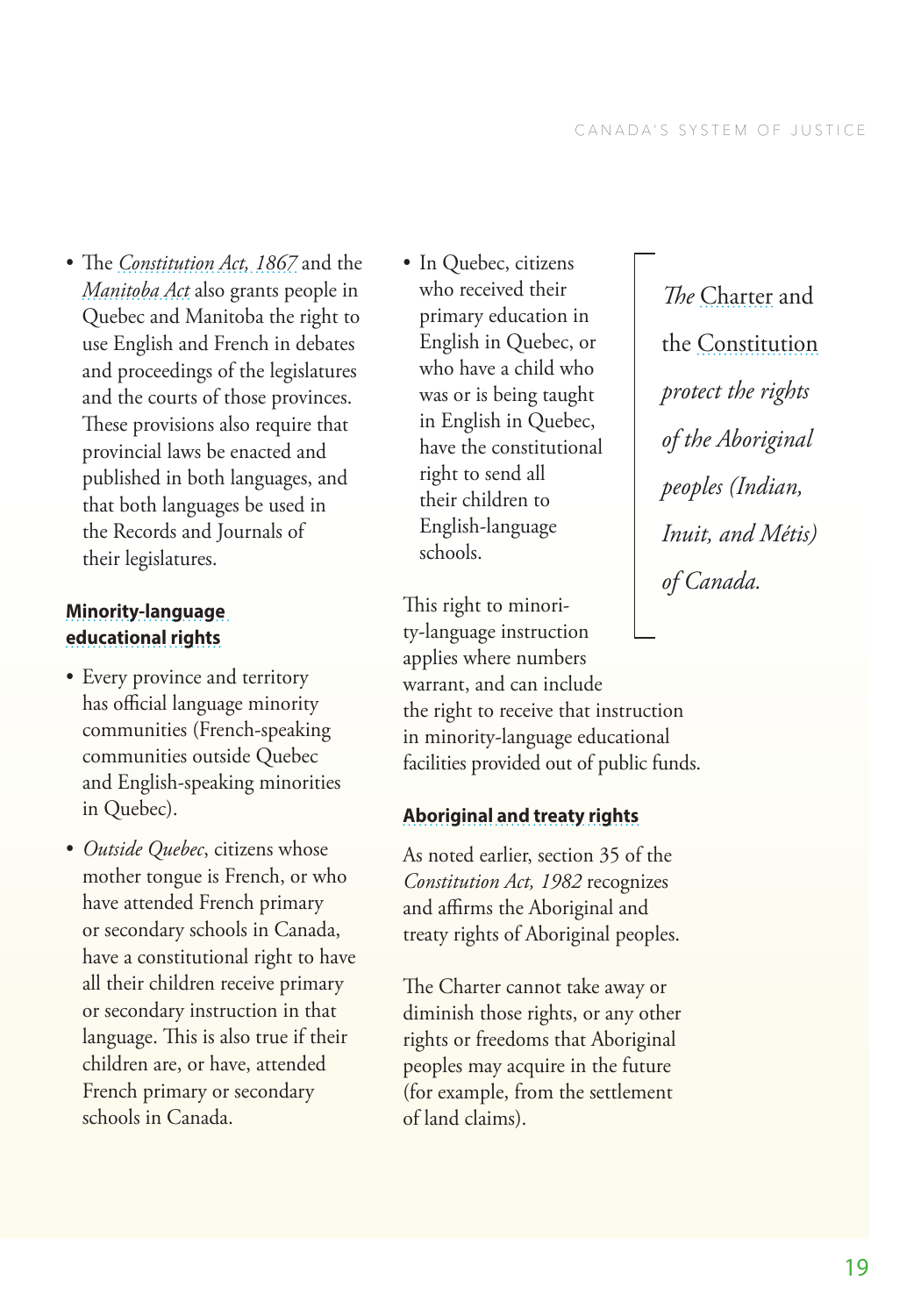<span id="page-24-0"></span>• The *[Constitution Act, 1867](http://laws-lois.justice.gc.ca/eng/const/page-1.html)* and the *[Manitoba Act](http://www.canadahistoryproject.ca/1870/1870-08-manitoba-act.html)* also grants people in Quebec and Manitoba the right to use English and French in debates and proceedings of the legislatures and the courts of those provinces. These provisions also require that provincial laws be enacted and published in both languages, and that both languages be used in the Records and Journals of their legislatures.

## **[Minority-language](http://www.pch.gc.ca/eng/1356640308088/1356640399461)  [educational rights](http://www.pch.gc.ca/eng/1356640308088/1356640399461)**

- Every province and territory has official language minority communities (French-speaking communities outside Quebec and English-speaking minorities in Quebec).
- *Outside Quebec*, citizens whose mother tongue is French, or who have attended French primary or secondary schools in Canada, have a constitutional right to have all their children receive primary or secondary instruction in that language. This is also true if their children are, or have, attended French primary or secondary schools in Canada.

• In Quebec, citizens who received their primary education in English in Quebec, or who have a child who was or is being taught in English in Quebec, have the constitutional right to send all their children to English-language schools.

This right to minority-language instruction applies where numbers warrant, and can include the right to receive that instruction in minority-language educational facilities provided out of public funds.

# **[Aboriginal and treaty rights](http://laws-lois.justice.gc.ca/eng/CONST/page-16.html#docCont)**

As noted earlier, section 35 of the *Constitution Act, 1982* recognizes and affirms the Aboriginal and treaty rights of Aboriginal peoples.

The Charter cannot take away or diminish those rights, or any other rights or freedoms that Aboriginal peoples may acquire in the future (for example, from the settlement of land claims).

*The* [Charter](http://www.pch.gc.ca/eng/1355931562580/1355931640787) and the [Constitution](http://laws-lois.justice.gc.ca/eng/const/page-16.html) *protect the rights of the Aboriginal peoples (Indian, Inuit, and Métis) of Canada.*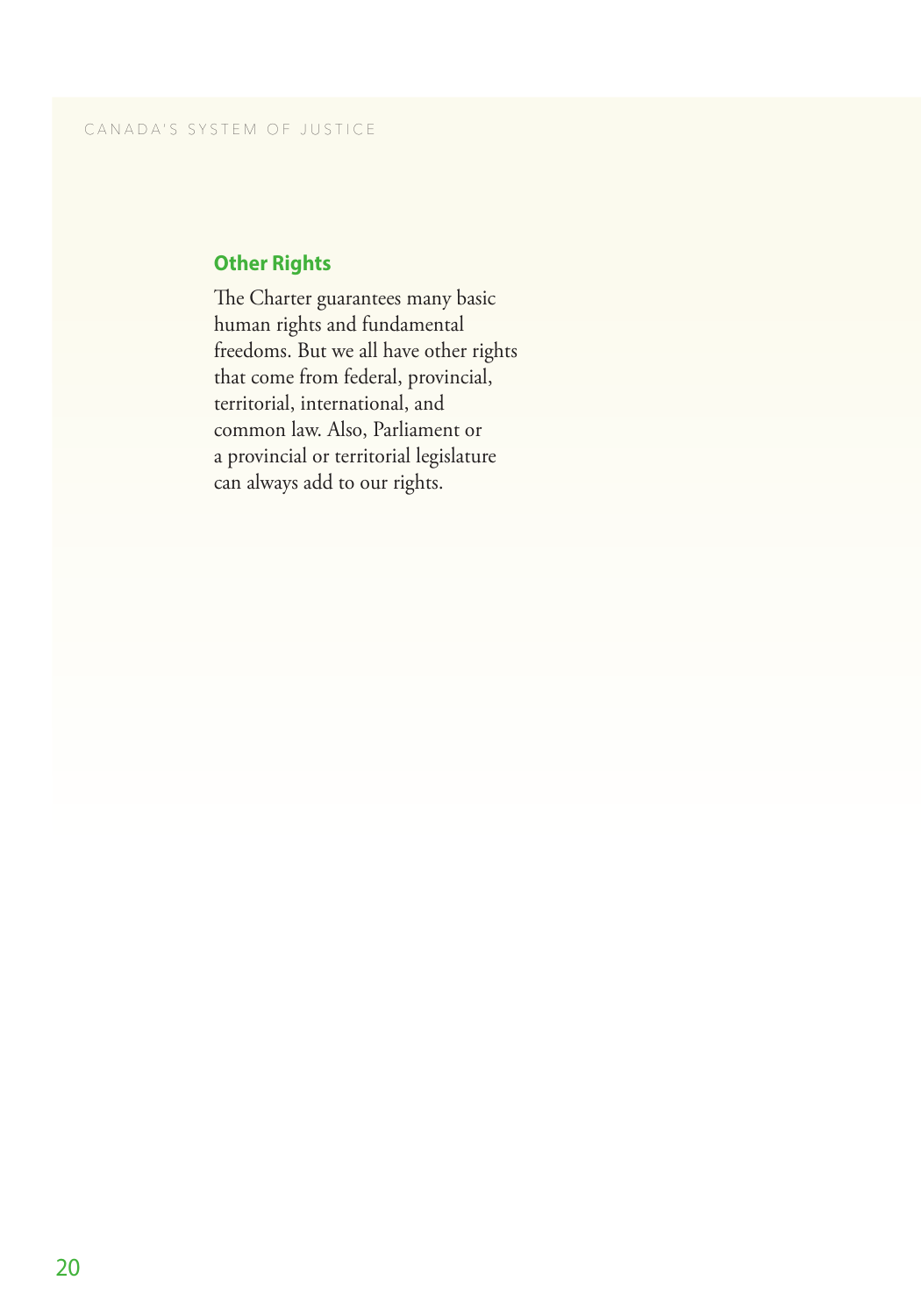# <span id="page-25-0"></span>**Other Rights**

The Charter guarantees many basic human rights and fundamental freedoms. But we all have other rights that come from federal, provincial, territorial, international, and common law. Also, Parliament or a provincial or territorial legislature can always add to our rights.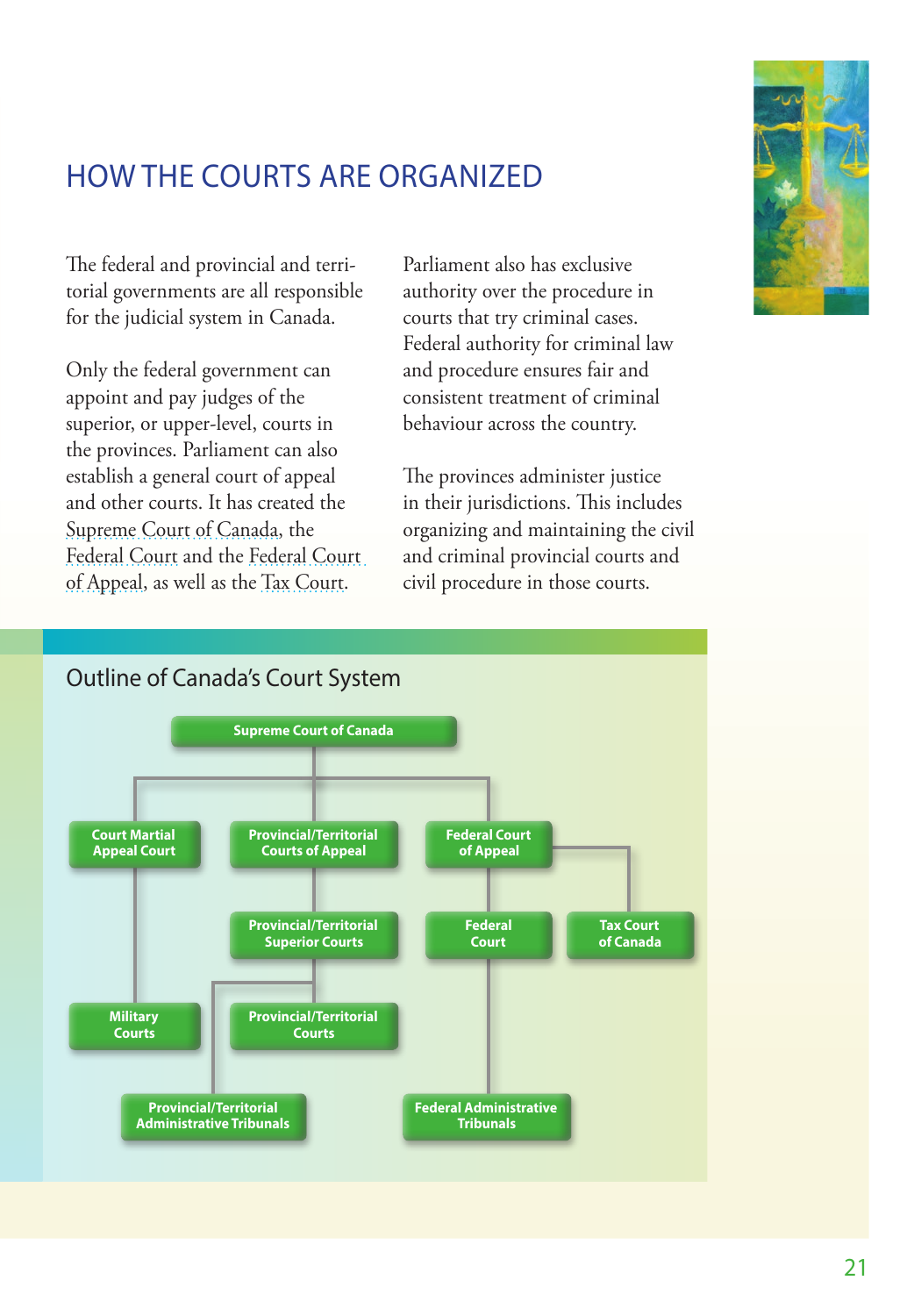

# <span id="page-26-0"></span>HOW THE COURTS ARE ORGANIZED

The federal and provincial and territorial governments are all responsible for the judicial system in Canada.

Only the federal government can appoint and pay judges of the superior, or upper-level, courts in the provinces. Parliament can also establish a general court of appeal and other courts. It has created the [Supreme Court of Canada](http://www.scc-csc.gc.ca/home-accueil/index-eng.aspx), the [Federal Court](http://cas-ncr-nter03.cas-satj.gc.ca/portal/page/portal/fc_cf_en/Index) and the [Federal Court](http://cas-ncr-nter03.cas-satj.gc.ca/portal/page/portal/fca-caf_eng)  [of Appeal](http://cas-ncr-nter03.cas-satj.gc.ca/portal/page/portal/fca-caf_eng), as well as the [Tax Court](http://cas-ncr-nter03.cas-satj.gc.ca/portal/page/portal/tcc-cci_Eng/Index).

Parliament also has exclusive authority over the procedure in courts that try criminal cases. Federal authority for criminal law and procedure ensures fair and consistent treatment of criminal behaviour across the country.

The provinces administer justice in their jurisdictions. This includes organizing and maintaining the civil and criminal provincial courts and civil procedure in those courts.



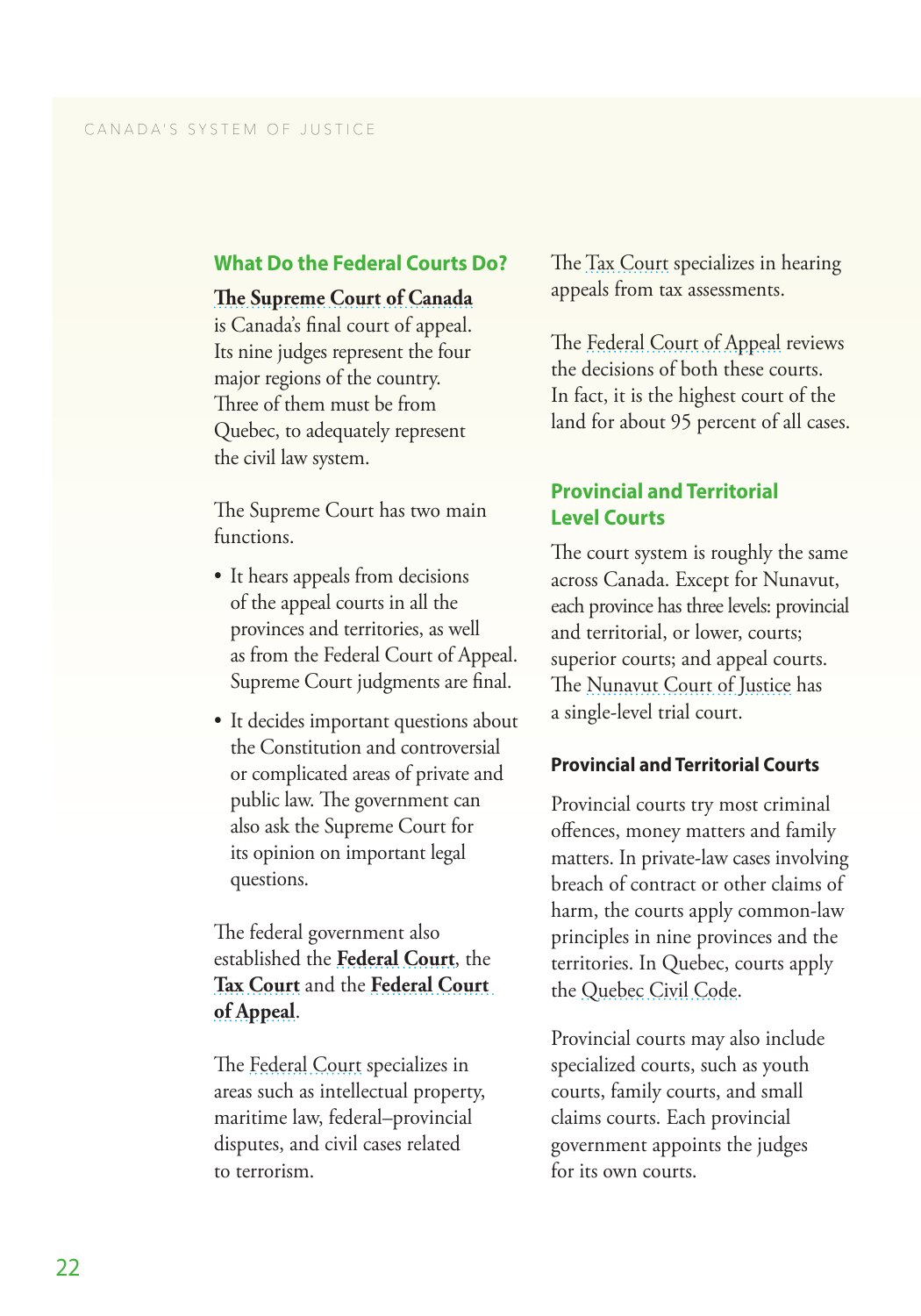#### <span id="page-27-0"></span>**What Do the Federal Courts Do?**

## **[The Supreme Court of Canada](http://www.scc-csc.gc.ca/home-accueil/index-eng.aspx)**

is Canada's final court of appeal. Its nine judges represent the four major regions of the country. Three of them must be from Quebec, to adequately represent the civil law system.

The Supreme Court has two main functions. • It hears appeals from decisions

- of the appeal courts in all the provinces and territories, as well as from the Federal Court of Appeal. Supreme Court judgments are final.
- It decides important questions about the Constitution and controversial or complicated areas of private and public law. The government can also ask the Supreme Court for its opinion on important legal questions.

The federal government also established the **[Federal Court](http://cas-ncr-nter03.cas-satj.gc.ca/portal/page/portal/fc_cf_en/Index)**, the **[Tax Court](http://cas-ncr-nter03.cas-satj.gc.ca/portal/page/portal/tcc-cci_Eng/Index)** and the **[Federal Court](http://cas-ncr-nter03.cas-satj.gc.ca/portal/page/portal/fca-caf_eng)  [of Appeal](http://cas-ncr-nter03.cas-satj.gc.ca/portal/page/portal/fca-caf_eng)**.

The [Federal Court](http://cas-ncr-nter03.cas-satj.gc.ca/portal/page/portal/fc_cf_en/Index) specializes in areas such as intellectual property, maritime law, federal–provincial disputes, and civil cases related to terrorism.

The [Tax Court](http://cas-ncr-nter03.cas-satj.gc.ca/portal/page/portal/tcc-cci_Eng/Index) specializes in hearing appeals from tax assessments.

The [Federal Court of Appeal](http://cas-ncr-nter03.cas-satj.gc.ca/portal/page/portal/fca-caf_eng) reviews the decisions of both these courts. In fact, it is the highest court of the land for about 95 percent of all cases.

### **Provincial and Territorial Level Courts**

The court system is roughly the same across Canada. Except for Nunavut, each province has three levels: provincial and territorial, or lower, courts; superior courts; and appeal courts. The [Nunavut Court of Justice](http://www.nucj.ca/welcome.htm) has a single-level trial court.

### **Provincial and Territorial Courts**

Provincial courts try most criminal offences, money matters and family matters. In private-law cases involving breach of contract or other claims of harm, the courts apply common-law principles in nine provinces and the territories. In Quebec, courts apply the [Quebec Civil Code](http://www2.publicationsduquebec.gouv.qc.ca/dynamicSearch/telecharge.php?type=2&file=/CCQ_1991/CCQ1991_A.html) .

Provincial courts may also include specialized courts, such as youth courts, family courts, and small claims courts. Each provincial government appoints the judges for its own courts.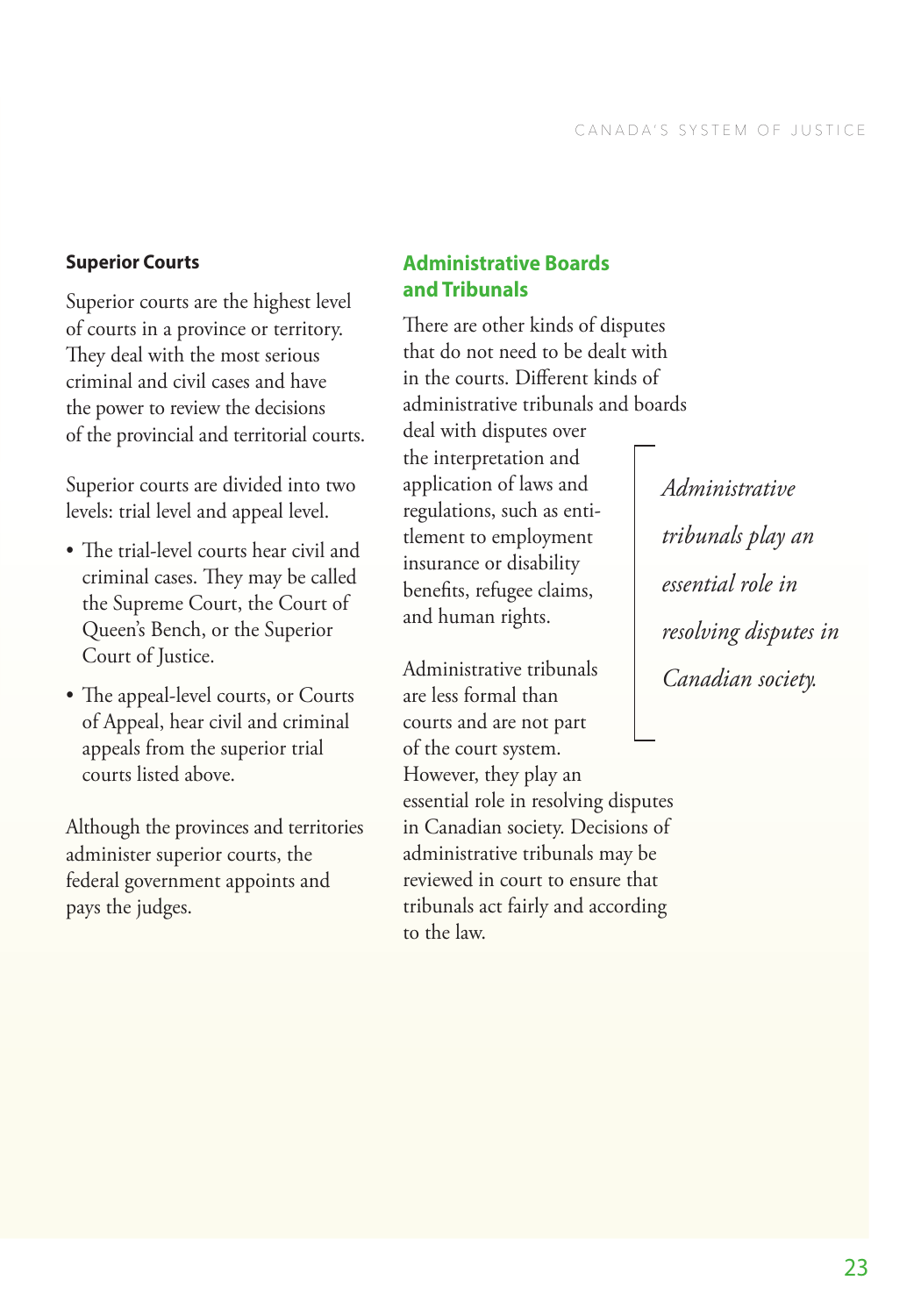### <span id="page-28-0"></span>**Superior Courts**

Superior courts are the highest level of courts in a province or territory. They deal with the most serious criminal and civil cases and have the power to review the decisions of the provincial and territorial courts.

Superior courts are divided into two levels: trial level and appeal level.

- The trial-level courts hear civil and criminal cases. They may be called the Supreme Court, the Court of Queen's Bench, or the Superior Court of Justice.
- The appeal-level courts, or Courts of Appeal, hear civil and criminal appeals from the superior trial courts listed above.

Although the provinces and territories administer superior courts, the federal government appoints and pays the judges.

# **Administrative Boards and Tribunals**

There are other kinds of disputes that do not need to be dealt with in the courts. Different kinds of administrative tribunals and boards deal with disputes over the interpretation and application of laws and regulations, such as entitlement to employment insurance or disability benefits, refugee claims, and human rights.

Administrative tribunals are less formal than courts and are not part of the court system. However, they play an essential role in resolving disputes in Canadian society. Decisions of administrative tribunals may be reviewed in court to ensure that tribunals act fairly and according to the law.

*Administrative tribunals play an essential role in resolving disputes in Canadian society.*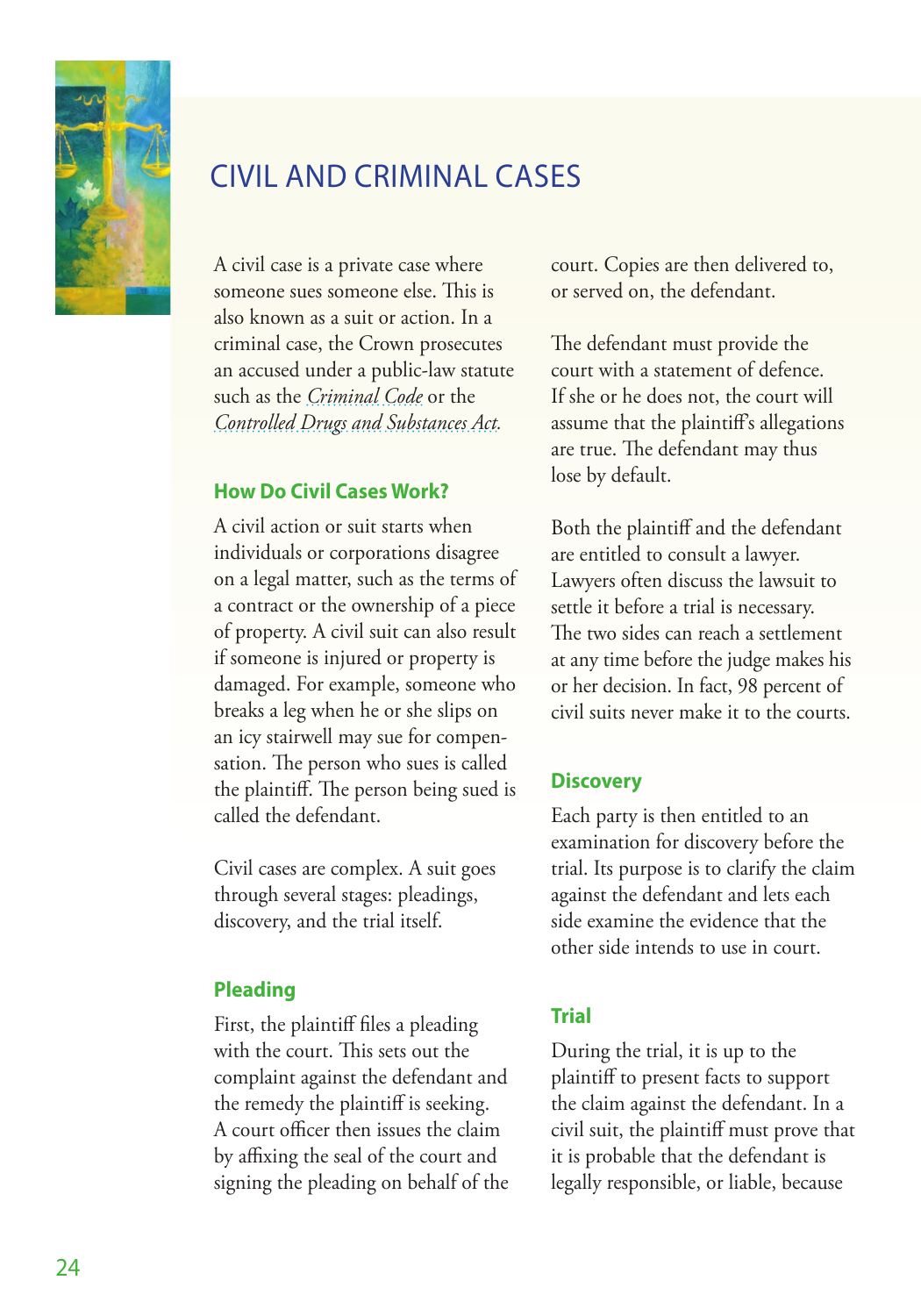<span id="page-29-0"></span>

# CIVIL AND CRIMINAL CASES

A civil case is a private case where someone sues someone else. This is also known as a suit or action. In a criminal case, the Crown prosecutes an accused under a public-law statute such as the *[Criminal Code](http://laws-lois.justice.gc.ca/eng/acts/c-46/)* or the *[Controlled Drugs and Substances Act.](http://laws-lois.justice.gc.ca/eng/acts/C-38.8/index.html)*

### **How Do Civil Cases Work?**

A civil action or suit starts when individuals or corporations disagree on a legal matter, such as the terms of a contract or the ownership of a piece of property. A civil suit can also result if someone is injured or property is damaged. For example, someone who breaks a leg when he or she slips on an icy stairwell may sue for compensation. The person who sues is called the plaintiff. The person being sued is called the defendant.

Civil cases are complex. A suit goes through several stages: pleadings, discovery, and the trial itself.

### **Pleading**

First, the plaintiff files a pleading with the court. This sets out the complaint against the defendant and the remedy the plaintiff is seeking. A court officer then issues the claim by affixing the seal of the court and signing the pleading on behalf of the court. Copies are then delivered to, or served on, the defendant.

The defendant must provide the court with a statement of defence. If she or he does not, the court will assume that the plaintiff's allegations are true. The defendant may thus lose by default.

Both the plaintiff and the defendant are entitled to consult a lawyer. Lawyers often discuss the lawsuit to settle it before a trial is necessary. The two sides can reach a settlement at any time before the judge makes his or her decision. In fact, 98 percent of civil suits never make it to the courts.

### **Discovery**

Each party is then entitled to an examination for discovery before the trial. Its purpose is to clarify the claim against the defendant and lets each side examine the evidence that the other side intends to use in court.

### **Trial**

During the trial, it is up to the plaintiff to present facts to support the claim against the defendant. In a civil suit, the plaintiff must prove that it is probable that the defendant is legally responsible, or liable, because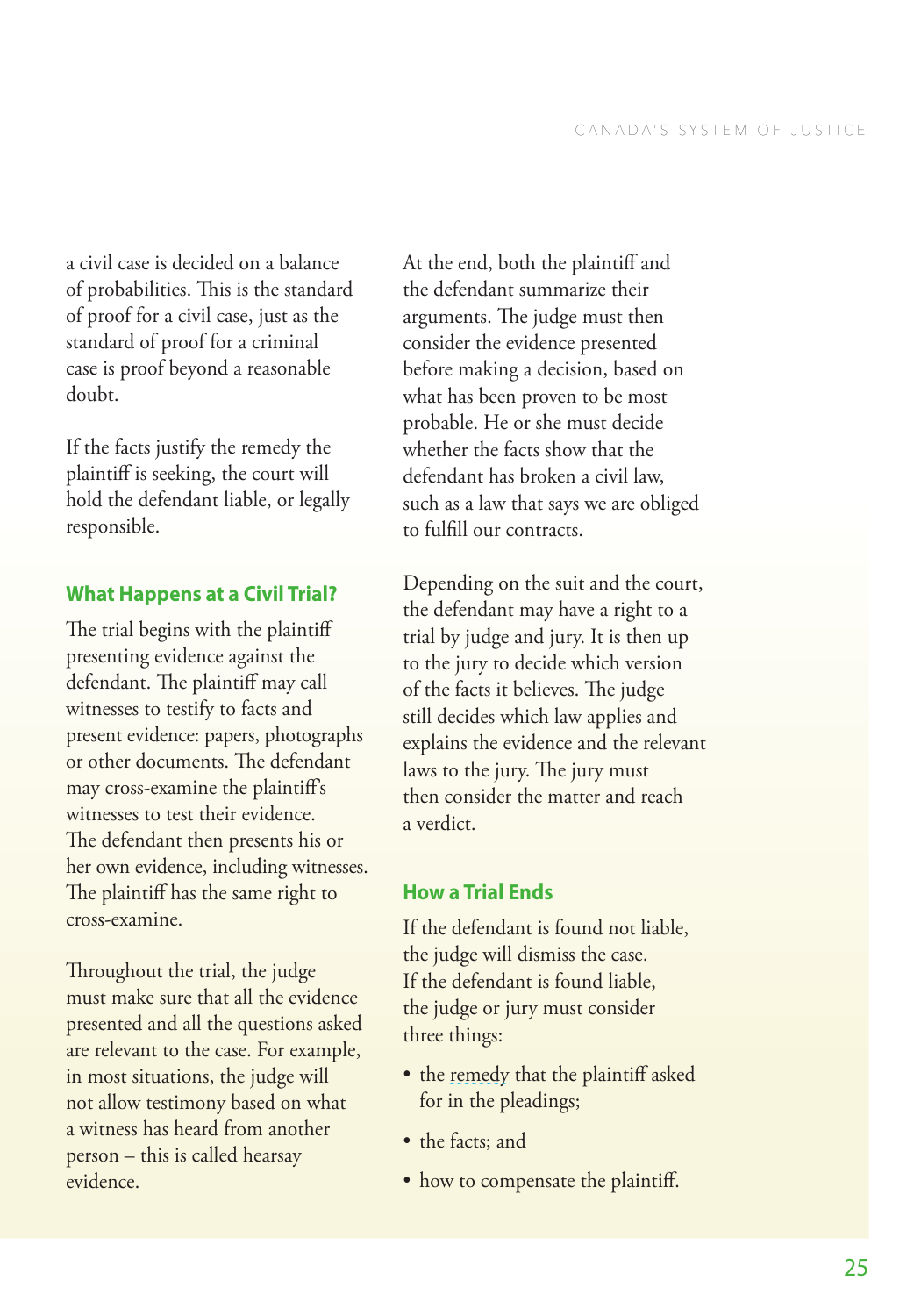<span id="page-30-0"></span>a civil case is decided on a balance of probabilities. This is the standard of proof for a civil case, just as the standard of proof for a criminal case is proof beyond a reasonable doubt.

If the facts justify the remedy the plaintiff is seeking, the court will hold the defendant liable, or legally responsible.

### **What Happens at a Civil Trial?**

The trial begins with the plaintiff presenting evidence against the defendant. The plaintiff may call witnesses to testify to facts and present evidence: papers, photographs or other documents. The defendant may cross-examine the plaintiff's witnesses to test their evidence. The defendant then presents his or her own evidence, including witnesses. The plaintiff has the same right to cross-examine.

Throughout the trial, the judge must make sure that all the evidence presented and all the questions asked are relevant to the case. For example, in most situations, the judge will not allow testimony based on what a witness has heard from another person – this is called hearsay evidence.

At the end, both the plaintiff and the defendant summarize their arguments. The judge must then consider the evidence presented before making a decision, based on what has been proven to be most probable. He or she must decide whether the facts show that the defendant has broken a civil law, such as a law that says we are obliged to fulfill our contracts.

Depending on the suit and the court, the defendant may have a right to a trial by judge and jury. It is then up to the jury to decide which version of the facts it believes. The judge still decides which law applies and explains the evidence and the relevant laws to the jury. The jury must then consider the matter and reach a verdict.

### **How a Trial Ends**

If the defendant is found not liable, the judge will dismiss the case. If the defendant is found liable, the judge or jury must consider

- three things:<br>• the <u>remedy</u> that the plaintiff asked for in the pleadings;
- 
- the facts; and<br>• how to compensate the plaintiff.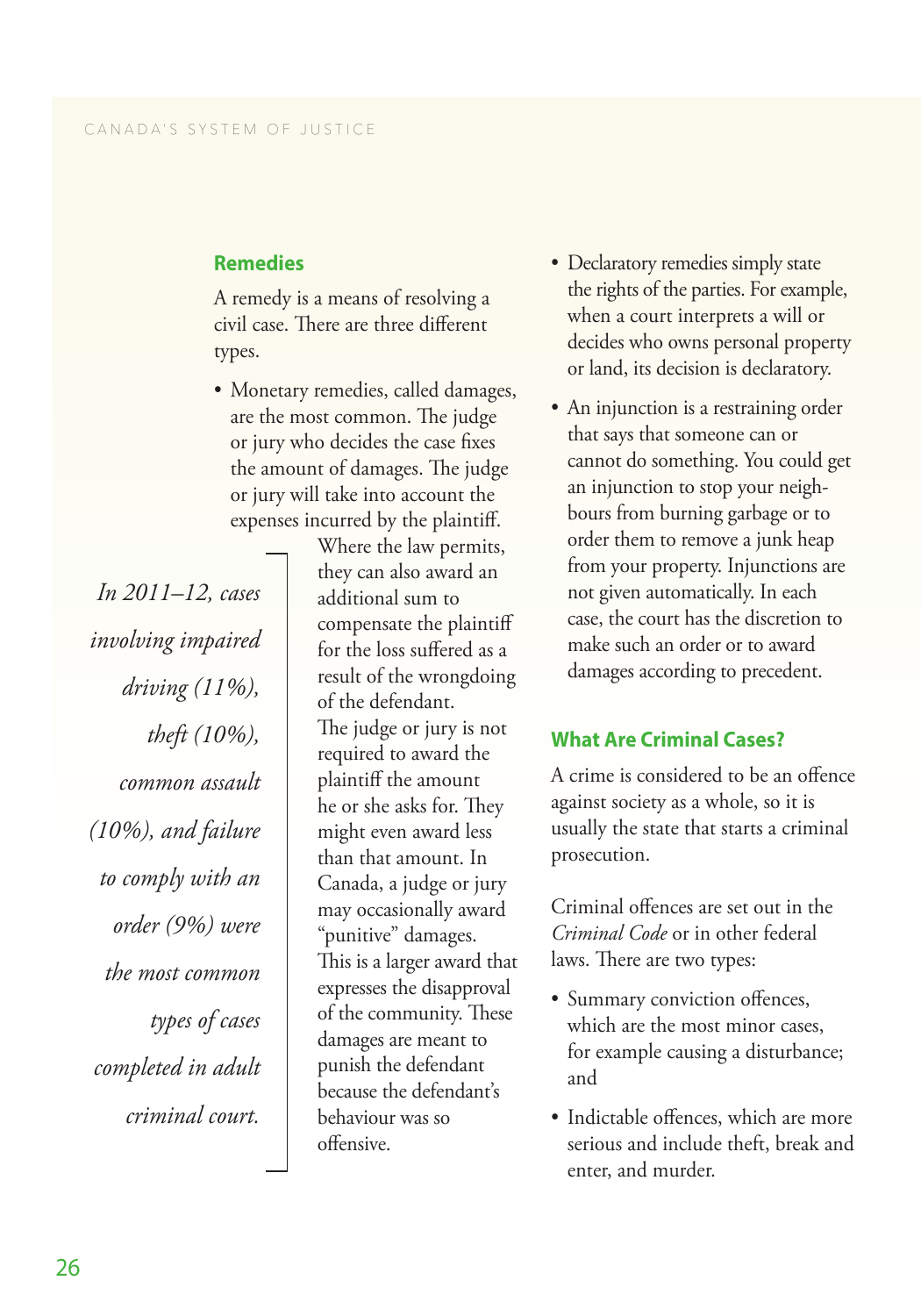### <span id="page-31-0"></span>**Remedies**

A remedy is a means of resolving a civil case. There are three different types.

• Monetary remedies, called damages, are the most common. The judge or jury who decides the case fixes the amount of damages. The judge or jury will take into account the expenses incurred by the plaintiff.

*In 2011–12, cases involving impaired driving (11%), theft (10%), common assault (10%), and failure to comply with an order (9%) were the most common types of cases completed in adult criminal court.*

Where the law permits, they can also award an additional sum to compensate the plaintiff for the loss suffered as a result of the wrongdoing of the defendant. The judge or jury is not required to award the plaintiff the amount he or she asks for. They might even award less than that amount. In Canada, a judge or jury may occasionally award "punitive" damages. This is a larger award that expresses the disapproval of the community. These damages are meant to punish the defendant because the defendant's behaviour was so offensive.

- Declaratory remedies simply state the rights of the parties. For example, when a court interprets a will or decides who owns personal property or land, its decision is declaratory.
- An injunction is a restraining order that says that someone can or cannot do something. You could get an injunction to stop your neighbours from burning garbage or to order them to remove a junk heap from your property. Injunctions are not given automatically. In each case, the court has the discretion to make such an order or to award damages according to precedent.

### **What Are Criminal Cases?**

A crime is considered to be an offence against society as a whole, so it is usually the state that starts a criminal prosecution.

Criminal offences are set out in the *Criminal Code* or in other federal laws. There are two types:

- Summary conviction offences, which are the most minor cases, for example causing a disturbance; and
- Indictable offences, which are more serious and include theft, break and enter, and murder.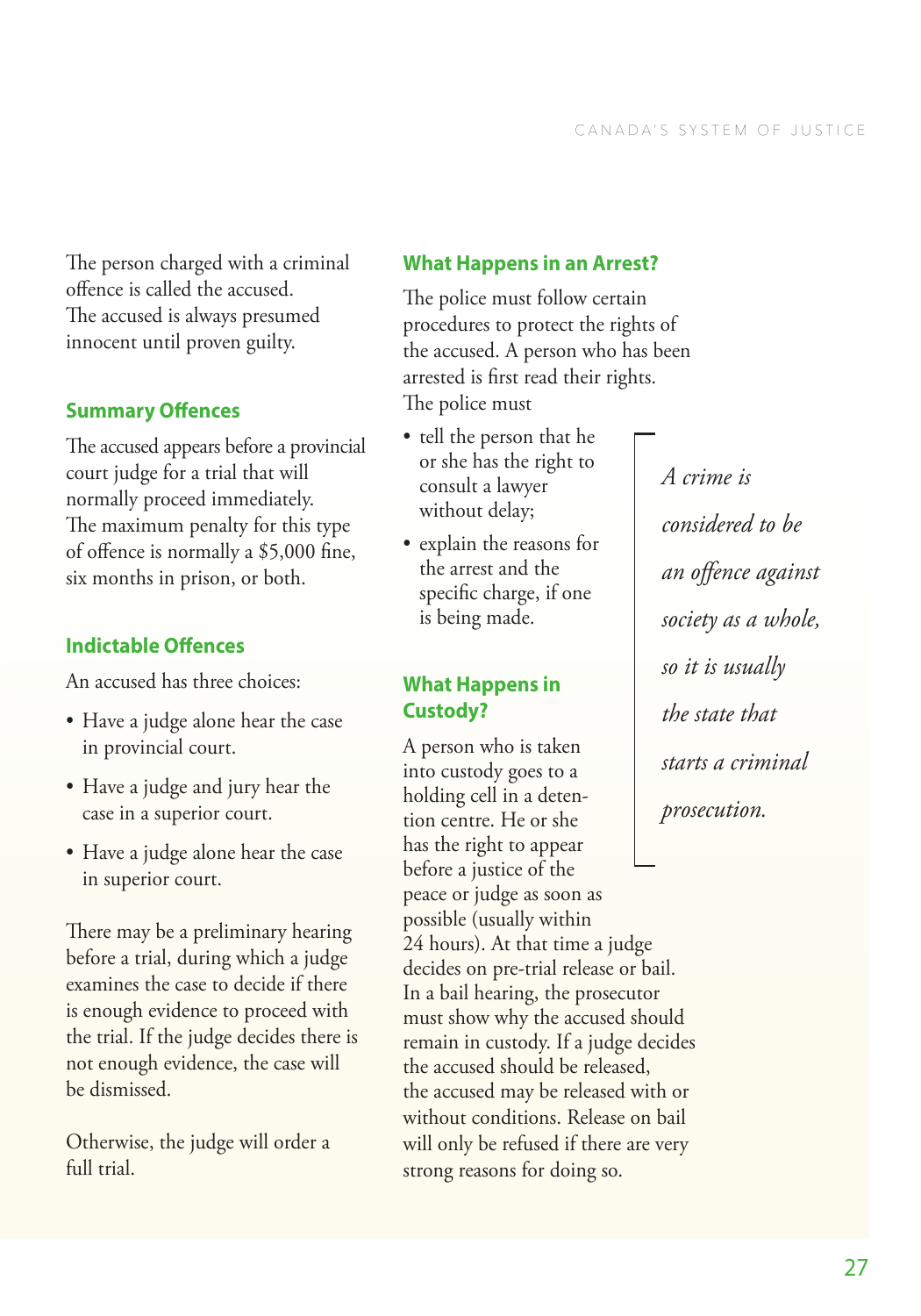<span id="page-32-0"></span>The person charged with a criminal offence is called the accused. The accused is always presumed innocent until proven guilty.

### **Summary Offences**

The accused appears before a provincial court judge for a trial that will normally proceed immediately. The maximum penalty for this type of offence is normally a \$5,000 fine, six months in prison, or both.

# **Indictable Offences**

An accused has three choices:

- Have a judge alone hear the case in provincial court.
- Have a judge and jury hear the case in a superior court.
- Have a judge alone hear the case in superior court.

There may be a preliminary hearing before a trial, during which a judge examines the case to decide if there is enough evidence to proceed with the trial. If the judge decides there is not enough evidence, the case will be dismissed.

Otherwise, the judge will order a full trial.

## **What Happens in an Arrest?**

The police must follow certain procedures to protect the rights of the accused. A person who has been arrested is first read their rights. The police must

- tell the person that he or she has the right to consult a lawyer without delay;
- explain the reasons for the arrest and the specific charge, if one is being made.

### **What Happens in Custody?**

A person who is taken into custody goes to a holding cell in a detention centre. He or she has the right to appear before a justice of the peace or judge as soon as possible (usually within 24 hours). At that time a judge decides on pre-trial release or bail. In a bail hearing, the prosecutor must show why the accused should remain in custody. If a judge decides the accused should be released, the accused may be released with or without conditions. Release on bail will only be refused if there are very strong reasons for doing so.

*A crime is considered to be an offence against society as a whole, so it is usually the state that starts a criminal prosecution.*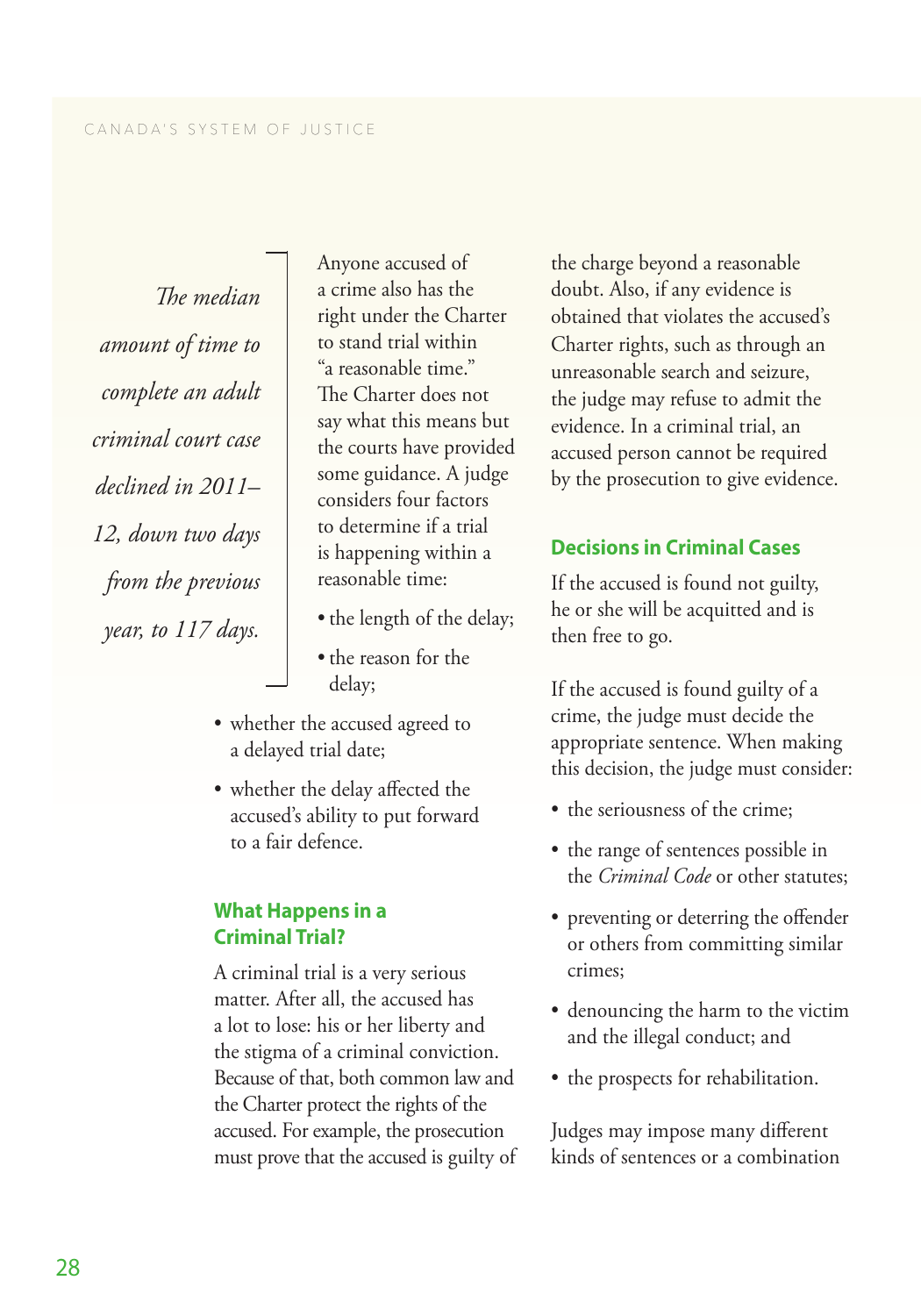<span id="page-33-0"></span>*The median amount of time to complete an adult criminal court case declined in 2011– 12, down two days from the previous year, to 117 days.*

Anyone accused of a crime also has the right under the Charter to stand trial within "a reasonable time." The Charter does not say what this means but the courts have provided some guidance. A judge considers four factors to determine if a trial is happening within a reasonable time:

- the length of the delay;
- the reason for the delay;
- whether the accused agreed to a delayed trial date;
- whether the delay affected the accused's ability to put forward to a fair defence.

### **What Happens in a Criminal Trial?**

A criminal trial is a very serious matter. After all, the accused has a lot to lose: his or her liberty and the stigma of a criminal conviction. Because of that, both common law and the Charter protect the rights of the accused. For example, the prosecution must prove that the accused is guilty of

the charge beyond a reasonable doubt. Also, if any evidence is obtained that violates the accused's Charter rights, such as through an unreasonable search and seizure, the judge may refuse to admit the evidence. In a criminal trial, an accused person cannot be required by the prosecution to give evidence.

### **Decisions in Criminal Cases**

If the accused is found not guilty, he or she will be acquitted and is then free to go.

If the accused is found guilty of a crime, the judge must decide the appropriate sentence. When making this decision, the judge must consider:

- the seriousness of the crime:
- the range of sentences possible in the *Criminal Code* or other statutes;
- preventing or deterring the offender or others from committing similar crimes;
- denouncing the harm to the victim and the illegal conduct; and
- the prospects for rehabilitation.

Judges may impose many different kinds of sentences or a combination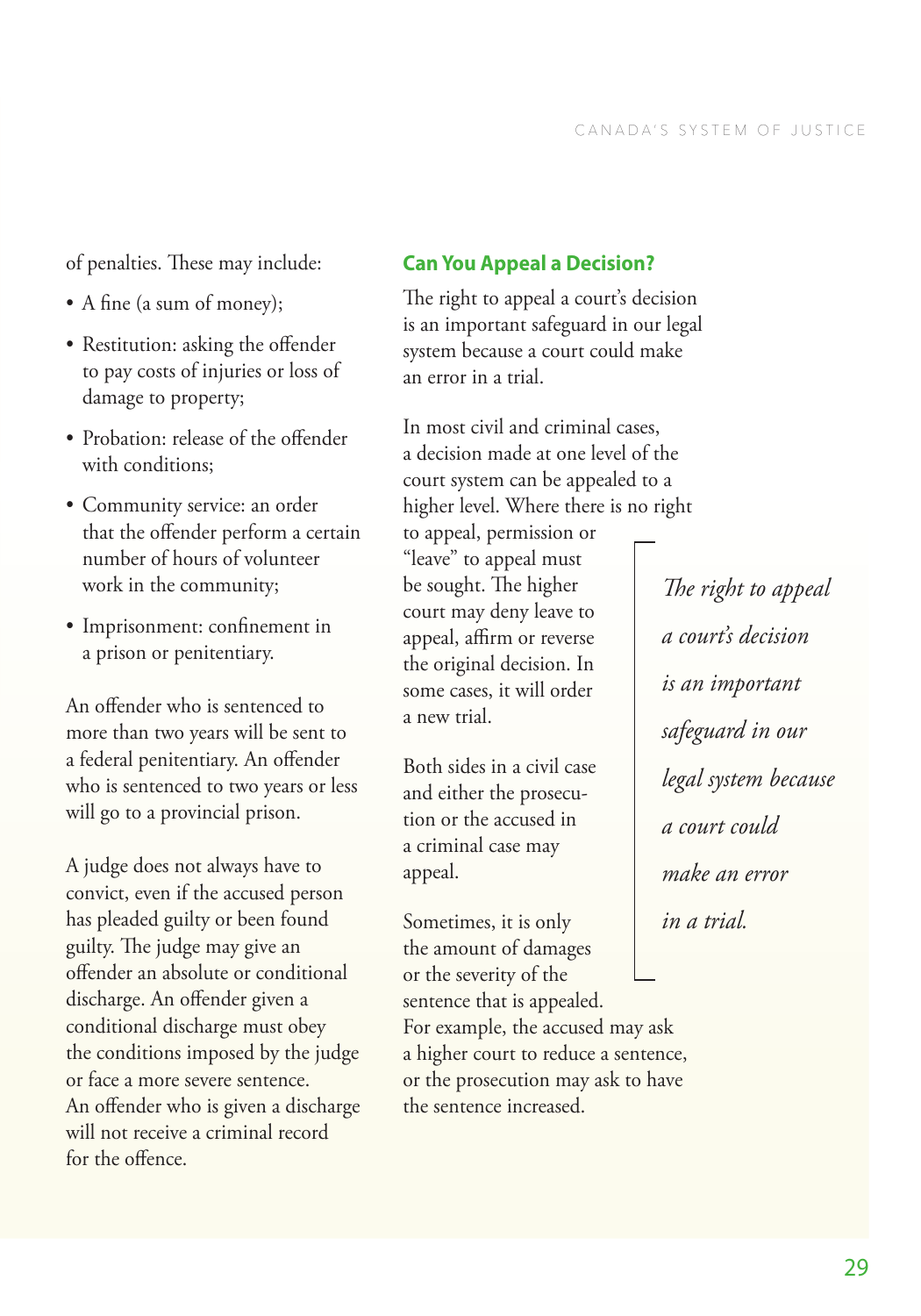<span id="page-34-0"></span>of penalties. These may include:

- A fine (a sum of money);
- Restitution: asking the offender to pay costs of injuries or loss of damage to property;
- Probation: release of the offender with conditions;
- Community service: an order that the offender perform a certain number of hours of volunteer work in the community;
- Imprisonment: confinement in a prison or penitentiary.

An offender who is sentenced to more than two years will be sent to a federal penitentiary. An offender who is sentenced to two years or less will go to a provincial prison.

A judge does not always have to convict, even if the accused person has pleaded guilty or been found guilty. The judge may give an offender an absolute or conditional discharge. An offender given a conditional discharge must obey the conditions imposed by the judge or face a more severe sentence. An offender who is given a discharge will not receive a criminal record for the offence.

### **Can You Appeal a Decision?**

The right to appeal a court's decision is an important safeguard in our legal system because a court could make an error in a trial.

In most civil and criminal cases, a decision made at one level of the court system can be appealed to a higher level. Where there is no right

to appeal, permission or "leave" to appeal must be sought. The higher court may deny leave to appeal, affirm or reverse the original decision. In some cases, it will order a new trial.

Both sides in a civil case and either the prosecution or the accused in a criminal case may appeal.

Sometimes, it is only the amount of damages or the severity of the sentence that is appealed. For example, the accused may ask a higher court to reduce a sentence, or the prosecution may ask to have the sentence increased.

*The right to appeal a court's decision is an important safeguard in our legal system because a court could make an error in a trial.*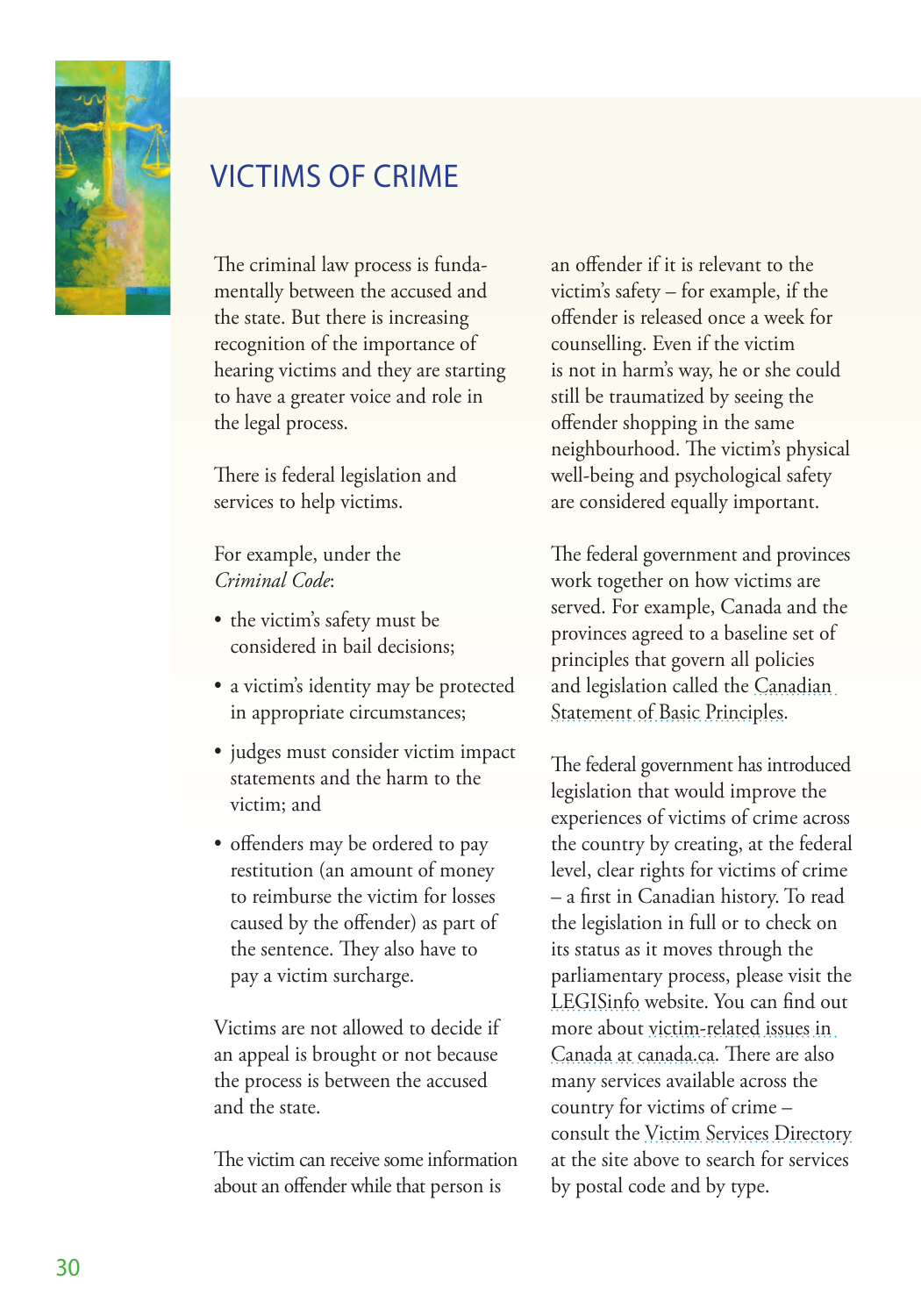<span id="page-35-0"></span>

# VICTIMS OF CRIME

The criminal law process is fundamentally between the accused and the state. But there is increasing recognition of the importance of hearing victims and they are starting to have a greater voice and role in the legal process.

There is federal legislation and services to help victims.

For example, under the *Criminal Code*:

- the victim's safety must be considered in bail decisions;
- a victim's identity may be protected in appropriate circumstances;
- judges must consider victim impact statements and the harm to the victim; and
- offenders may be ordered to pay restitution (an amount of money to reimburse the victim for losses caused by the offender) as part of the sentence. They also have to pay a victim surcharge.

Victims are not allowed to decide if an appeal is brought or not because the process is between the accused and the state.

The victim can receive some information about an offender while that person is

an offender if it is relevant to the victim's safety – for example, if the offender is released once a week for counselling. Even if the victim is not in harm's way, he or she could still be traumatized by seeing the offender shopping in the same neighbourhood. The victim's physical well-being and psychological safety are considered equally important.

The federal government and provinces work together on how victims are served. For example, Canada and the provinces agreed to a baseline set of principles that govern all policies and legislation called the [Canadian](http://www.justice.gc.ca/eng/rp-pr/cj-jp/victim/guide/secn.html)  [Statement of Basic Principles.](http://www.justice.gc.ca/eng/rp-pr/cj-jp/victim/guide/secn.html)

The federal government has introduced legislation that would improve the experiences of victims of crime across the country by creating, at the federal level, clear rights for victims of crime – a first in Canadian history. To read the legislation in full or to check on its status as it moves through the parliamentary process, please visit the [LEGISinfo](http://www.parl.gc.ca/Legisinfo/Home.aspx?ParliamentSession=41-2) website. You can find out more about [victim-related issues in](http://www.canada.ca/en/services/safety/victims/index.html)  [Canada at canada.ca](http://www.canada.ca/en/services/safety/victims/index.html). There are also many services available across the country for victims of crime – consult the [Victim Services Directory](http://www.justice.gc.ca/eng/cj-jp/victims-victimes/vsd-rsv/schp1-rchp1.asp) at the site above to search for services by postal code and by type.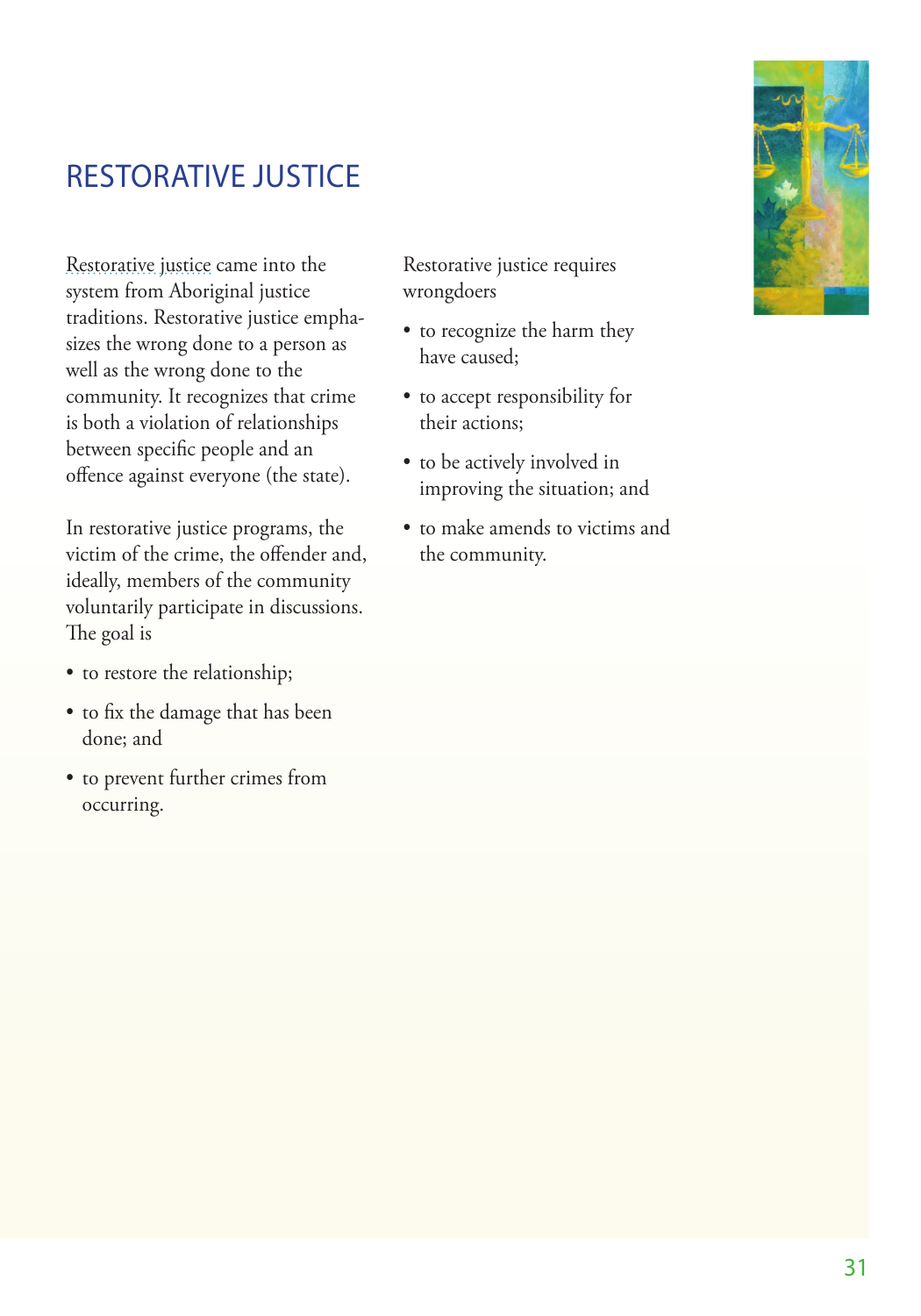# <span id="page-36-0"></span>RESTORATIVE JUSTICE

[Restorative justice](http://www.csc-scc.gc.ca/restorative-justice/003005-0007-eng.shtml) came into the system from Aboriginal justice traditions. Restorative justice emphasizes the wrong done to a person as well as the wrong done to the community. It recognizes that crime is both a violation of relationships between specific people and an offence against everyone (the state).

In restorative justice programs, the victim of the crime, the offender and, ideally, members of the community voluntarily participate in discussions. The goal is

- to restore the relationship;
- to fix the damage that has been done; and
- to prevent further crimes from occurring.

Restorative justice requires wrongdoers

- to recognize the harm they have caused;
- to accept responsibility for their actions;
- to be actively involved in improving the situation; and
- to make amends to victims and the community.

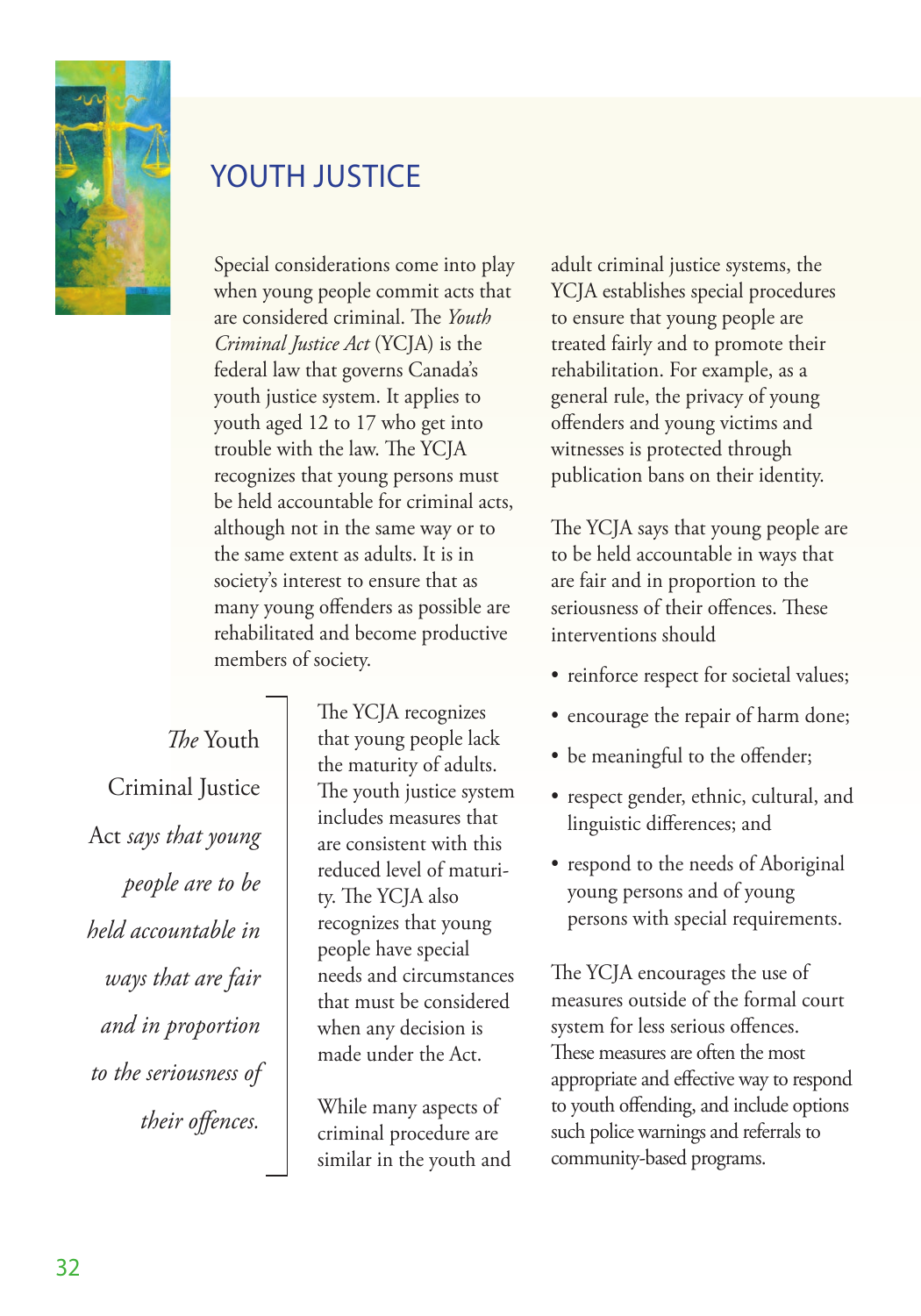<span id="page-37-0"></span>

# YOUTH JUSTICE

Special considerations come into play when young people commit acts that are considered criminal. The *Youth Criminal Justice Act* (YCJA) is the federal law that governs Canada's youth justice system. It applies to youth aged 12 to 17 who get into trouble with the law. The YCJA recognizes that young persons must be held accountable for criminal acts, although not in the same way or to the same extent as adults. It is in society's interest to ensure that as many young offenders as possible are rehabilitated and become productive members of society.

*The* Youth Criminal Justice Act *says that young people are to be held accountable in ways that are fair and in proportion to the seriousness of their offences.*

The YCJA recognizes that young people lack the maturity of adults. The youth justice system includes measures that are consistent with this reduced level of maturity. The YCJA also recognizes that young people have special needs and circumstances that must be considered when any decision is made under the Act.

While many aspects of criminal procedure are similar in the youth and adult criminal justice systems, the YCJA establishes special procedures to ensure that young people are treated fairly and to promote their rehabilitation. For example, as a general rule, the privacy of young offenders and young victims and witnesses is protected through publication bans on their identity.

The YCJA says that young people are to be held accountable in ways that are fair and in proportion to the seriousness of their offences. These interventions should

- reinforce respect for societal values;
- encourage the repair of harm done;
- be meaningful to the offender;
- respect gender, ethnic, cultural, and linguistic differences; and
- respond to the needs of Aboriginal young persons and of young persons with special requirements.

The YCJA encourages the use of measures outside of the formal court system for less serious offences. These measures are often the most appropriate and effective way to respond to youth offending, and include options such police warnings and referrals to community-based programs.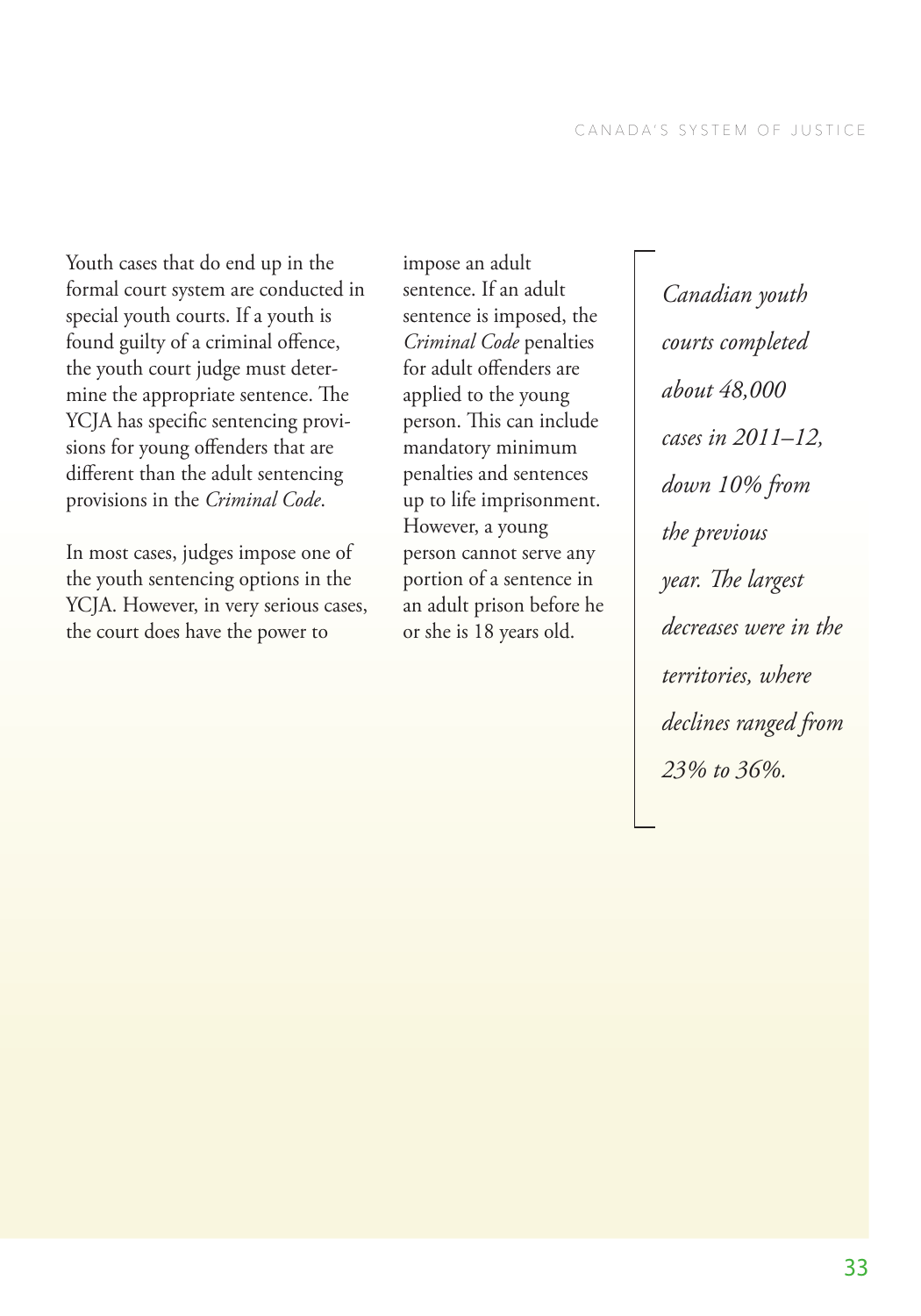Youth cases that do end up in the formal court system are conducted in special youth courts. If a youth is found guilty of a criminal offence, the youth court judge must determine the appropriate sentence. The YCJA has specific sentencing provisions for young offenders that are different than the adult sentencing provisions in the *Criminal Code*.

In most cases, judges impose one of the youth sentencing options in the YCJA. However, in very serious cases, the court does have the power to

impose an adult sentence. If an adult sentence is imposed, the *Criminal Code* penalties for adult offenders are applied to the young person. This can include mandatory minimum penalties and sentences up to life imprisonment. However, a young person cannot serve any portion of a sentence in an adult prison before he or she is 18 years old.

*Canadian youth courts completed about 48,000 cases in 2011–12, down 10% from the previous year. The largest decreases were in the territories, where declines ranged from 23% to 36%.*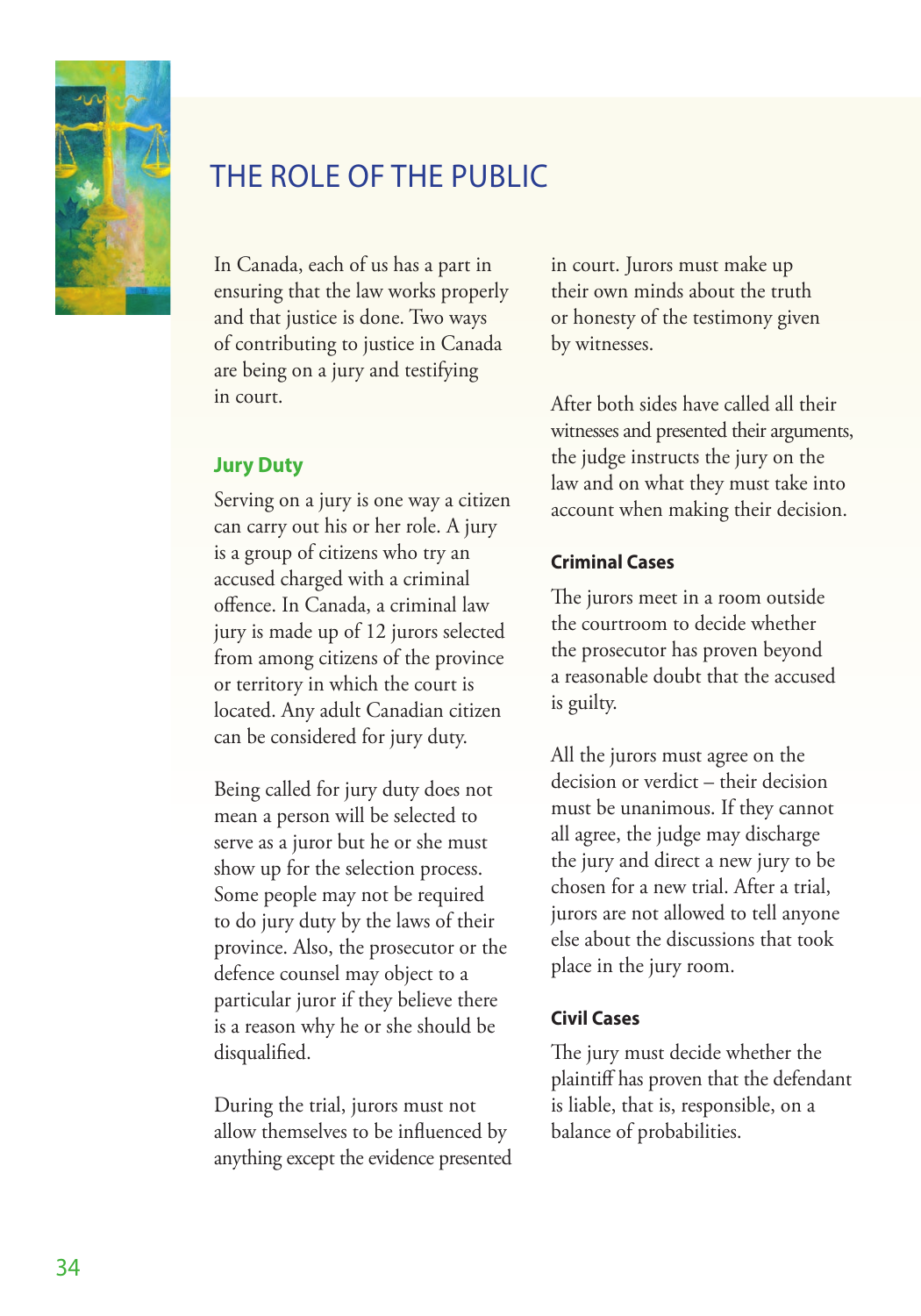<span id="page-39-0"></span>

# THE ROLE OF THE PUBLIC

In Canada, each of us has a part in ensuring that the law works properly and that justice is done. Two ways of contributing to justice in Canada are being on a jury and testifying in court.

### **Jury Duty**

Serving on a jury is one way a citizen can carry out his or her role. A jury is a group of citizens who try an accused charged with a criminal offence. In Canada, a criminal law jury is made up of 12 jurors selected from among citizens of the province or territory in which the court is located. Any adult Canadian citizen can be considered for jury duty.

Being called for jury duty does not mean a person will be selected to serve as a juror but he or she must show up for the selection process. Some people may not be required to do jury duty by the laws of their province. Also, the prosecutor or the defence counsel may object to a particular juror if they believe there is a reason why he or she should be disqualified.

During the trial, jurors must not allow themselves to be influenced by anything except the evidence presented in court. Jurors must make up their own minds about the truth or honesty of the testimony given by witnesses.

After both sides have called all their witnesses and presented their arguments, the judge instructs the jury on the law and on what they must take into account when making their decision.

#### **Criminal Cases**

The jurors meet in a room outside the courtroom to decide whether the prosecutor has proven beyond a reasonable doubt that the accused is guilty.

All the jurors must agree on the decision or verdict – their decision must be unanimous. If they cannot all agree, the judge may discharge the jury and direct a new jury to be chosen for a new trial. After a trial, jurors are not allowed to tell anyone else about the discussions that took place in the jury room.

#### **Civil Cases**

The jury must decide whether the plaintiff has proven that the defendant is liable, that is, responsible, on a balance of probabilities.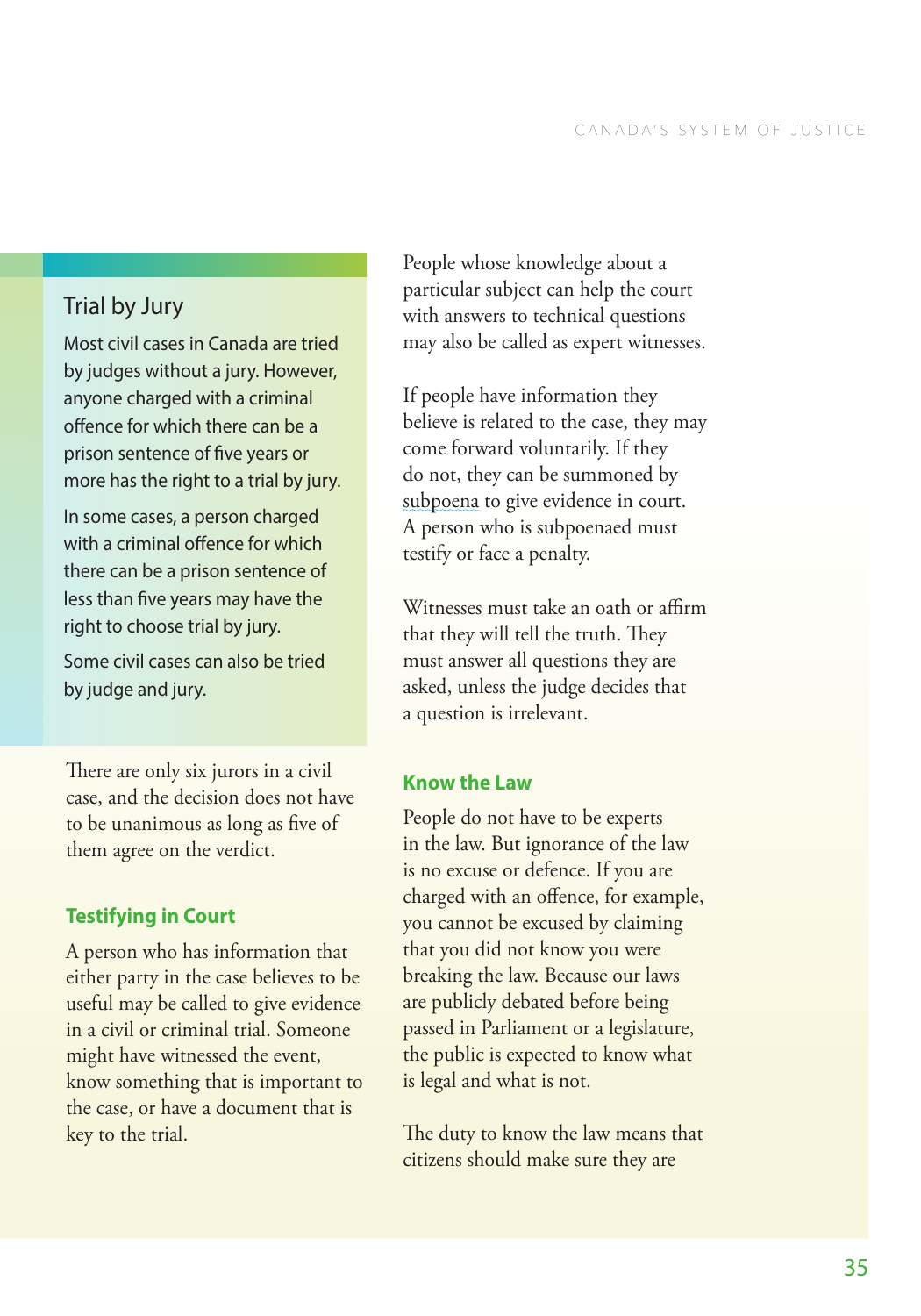# <span id="page-40-0"></span>Trial by Jury

Most civil cases in Canada are tried by judges without a jury. However, anyone charged with a criminal offence for which there can be a prison sentence of five years or more has the right to a trial by jury.

In some cases, a person charged with a criminal offence for which there can be a prison sentence of less than five years may have the right to choose trial by jury.

Some civil cases can also be tried by judge and jury.

There are only six jurors in a civil case, and the decision does not have to be unanimous as long as five of them agree on the verdict.

### **Testifying in Court**

A person who has information that either party in the case believes to be useful may be called to give evidence in a civil or criminal trial. Someone might have witnessed the event, know something that is important to the case, or have a document that is key to the trial.

People whose knowledge about a particular subject can help the court with answers to technical questions may also be called as expert witnesses.

If people have information they believe is related to the case, they may come forward voluntarily. If they do not, they can be summoned by [subpoena](#page-41-0) to give evidence in court. A person who is subpoenaed must testify or face a penalty.

Witnesses must take an oath or affirm that they will tell the truth. They must answer all questions they are asked, unless the judge decides that a question is irrelevant.

#### **Know the Law**

People do not have to be experts in the law. But ignorance of the law is no excuse or defence. If you are charged with an offence, for example, you cannot be excused by claiming that you did not know you were breaking the law. Because our laws are publicly debated before being passed in Parliament or a legislature, the public is expected to know what is legal and what is not.

The duty to know the law means that citizens should make sure they are